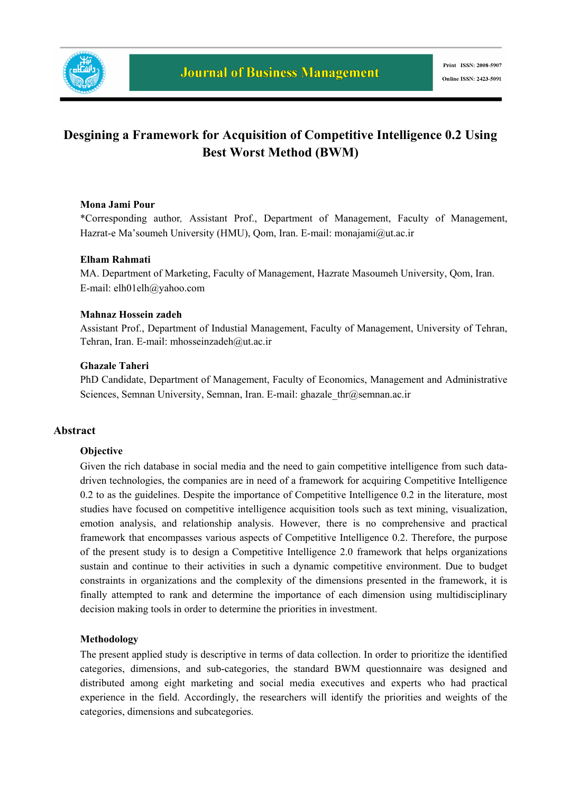

## **Desgining a Framework for Acquisition of Competitive Intelligence 0.2 Using Best Worst Method (BWM)**

#### **Mona Jami Pour**

\*Corresponding author*,* Assistant Prof., Department of Management, Faculty of Management, Hazrat-e Ma'soumeh University (HMU), Qom, Iran. E-mail: monajami@ut.ac.ir

#### **Elham Rahmati**

MA. Department of Marketing, Faculty of Management, Hazrate Masoumeh University, Qom, Iran. E-mail: elh01elh@yahoo.com

#### **Mahnaz Hossein zadeh**

Assistant Prof., Department of Industial Management, Faculty of Management, University of Tehran, Tehran, Iran. E-mail: mhosseinzadeh@ut.ac.ir

#### **Ghazale Taheri**

PhD Candidate, Department of Management, Faculty of Economics, Management and Administrative Sciences, Semnan University, Semnan, Iran. E-mail: ghazale\_thr@semnan.ac.ir

#### **Abstract**

#### **Objective**

Given the rich database in social media and the need to gain competitive intelligence from such datadriven technologies, the companies are in need of a framework for acquiring Competitive Intelligence 0.2 to as the guidelines. Despite the importance of Competitive Intelligence 0.2 in the literature, most studies have focused on competitive intelligence acquisition tools such as text mining, visualization, emotion analysis, and relationship analysis. However, there is no comprehensive and practical framework that encompasses various aspects of Competitive Intelligence 0.2. Therefore, the purpose of the present study is to design a Competitive Intelligence 2.0 framework that helps organizations sustain and continue to their activities in such a dynamic competitive environment. Due to budget constraints in organizations and the complexity of the dimensions presented in the framework, it is finally attempted to rank and determine the importance of each dimension using multidisciplinary decision making tools in order to determine the priorities in investment.

#### **Methodology**

The present applied study is descriptive in terms of data collection. In order to prioritize the identified categories, dimensions, and sub-categories, the standard BWM questionnaire was designed and distributed among eight marketing and social media executives and experts who had practical experience in the field. Accordingly, the researchers will identify the priorities and weights of the categories, dimensions and subcategories.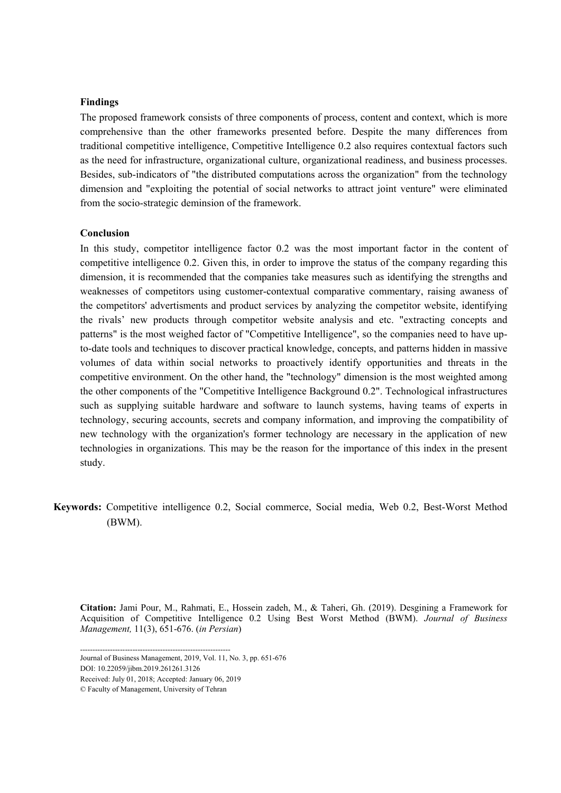#### **Findings**

The proposed framework consists of three components of process, content and context, which is more comprehensive than the other frameworks presented before. Despite the many differences from traditional competitive intelligence, Competitive Intelligence 0.2 also requires contextual factors such as the need for infrastructure, organizational culture, organizational readiness, and business processes. Besides, sub-indicators of "the distributed computations across the organization" from the technology dimension and "exploiting the potential of social networks to attract joint venture" were eliminated from the socio-strategic deminsion of the framework.

#### **Conclusion**

In this study, competitor intelligence factor 0.2 was the most important factor in the content of competitive intelligence 0.2. Given this, in order to improve the status of the company regarding this dimension, it is recommended that the companies take measures such as identifying the strengths and weaknesses of competitors using customer-contextual comparative commentary, raising awaness of the competitors' advertisments and product services by analyzing the competitor website, identifying the rivals' new products through competitor website analysis and etc. "extracting concepts and patterns" is the most weighed factor of "Competitive Intelligence", so the companies need to have upto-date tools and techniques to discover practical knowledge, concepts, and patterns hidden in massive volumes of data within social networks to proactively identify opportunities and threats in the competitive environment. On the other hand, the "technology" dimension is the most weighted among the other components of the "Competitive Intelligence Background 0.2". Technological infrastructures such as supplying suitable hardware and software to launch systems, having teams of experts in technology, securing accounts, secrets and company information, and improving the compatibility of new technology with the organization's former technology are necessary in the application of new technologies in organizations. This may be the reason for the importance of this index in the present study.

**Keywords:** Competitive intelligence 0.2, Social commerce, Social media, Web 0.2, Best-Worst Method (BWM).

**Citation:** Jami Pour, M., Rahmati, E., Hossein zadeh, M., & Taheri, Gh. (2019). Desgining a Framework for Acquisition of Competitive Intelligence 0.2 Using Best Worst Method (BWM). *Journal of Business Management,* 11(3), 651-676. (*in Persian*)

Received: July 01, 2018; Accepted: January 06, 2019

<sup>------------------------------------------------------------</sup>  Journal of Business Management, 2019, Vol. 11, No. 3, pp. 651-676

DOI: 10.22059/jibm.2019.261261.3126

<sup>©</sup> Faculty of Management, University of Tehran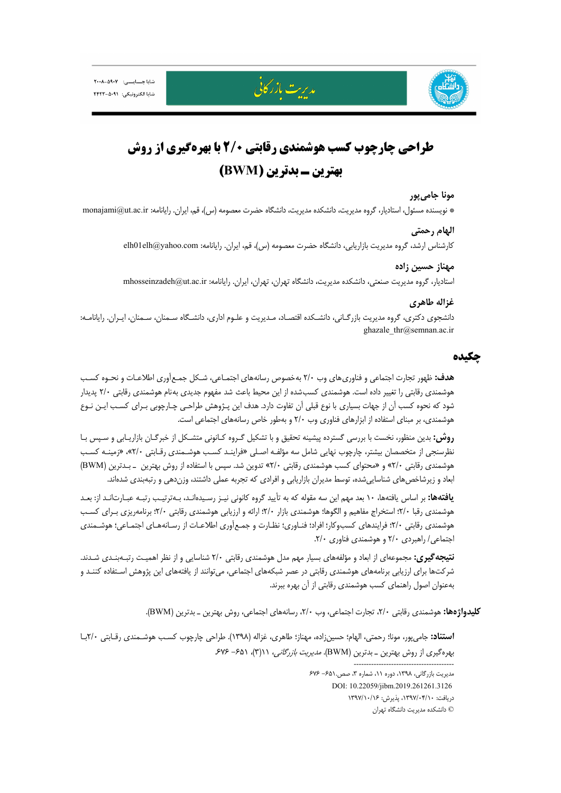





# **طراحي چارچوب كسب هوشمندي رقابتي 2/0 با بهرهگيري از روش بهترين ـ بدترين (BWM (**

#### **مونا جاميپور**

\* نويسنده مسئول، استاديار، گروه مديريت، دانشكده مديريت، دانشگاه حضرت معصومه (س)، قم، ايران. رايانامه: ir.ac.ut@monajami

#### **الهام رحمتي**

كارشناس ارشد، گروه مديريت بازاريابي، دانشگاه حضرت معصومه (س)، قم، ايران. رايانامه: com.yahoo@elh01elh

#### **مهناز حسين زاده**

استاديار، گروه مديريت صنعتي، دانشكده مديريت، دانشگاه تهران، تهران، ايران. رايانامه: ir.ac.ut@mhosseinzadeh

#### **غزاله طاهري**

دانشجوي دكتري، گروه مديريت بازرگـاني، دانشـكده اقتصـاد، مـديريت و علـوم اداري، دانشـگاه سـمنان، سـمنان، ايـران. رايانامـه: ghazale\_thr@semnan.ac.ir

#### **چكيده**

**هدف:** ظهور تجارت اجتماعي و فناوريهاي وب 2/0 بهخصوص رسانههاي اجتمـاعي، شـكل جمـعآوري اطلاعـات و نحـوه كسـب هوشمندي رقابتي را تغيير داده است. هوشمندي كسبشده از اين محيط باعث شد مفهوم جديدي بهنام هوشمندي رقابتي 2/0 پديدار شود كه نحوه كسب آن از جهات بسياري با نوع قبلي آن تفاوت دارد. هدف اين پـژوهش طراحـي چـارچوبي بـراي كسـب ايـن نـوع هوشمندي، بر مبناي استفاده از ابزارهاي فناوري وب 2/0 و بهطور خاص رسانههاي اجتماعي است.

**روش:** بدين منظور، نخست با بررسي گسترده پيشينه تحقيق و با تشكيل گـروه كـانوني متشـكل از خبرگـان بازاريـابي و سـپس بـا نظرسنجي از متخصصان بيشتر، چارچوب نهايي شامل سه مؤلفـه اصـلي «فراينـد كسـب هوشـمندي رقـابتي 2/0»، «زمينـه كسـب هوشمندي رقابتي 2/0» و «محتواي كسب هوشمندي رقابتي 2/0» تدوين شد. سپس با استفاده از روش بهترين ـ بـدترين (BWM ( ابعاد و زيرشاخصهاي شناساييشده، توسط مديران بازاريابي و افرادي كه تجربه عملي داشتند، وزندهي و رتبهبندي شدهاند.

**يافتهها:** بر اساس يافتهها، 10 بعد مهم اين سه مقوله كه به تأييد گروه كانوني نيـز رسـيدهانـد، بـهترتيـب رتبـه عبـارتانـد از: بعـد هوشمندي رقبا 2/0؛ استخراج مفاهيم و الگوها؛ هوشمندي بازار 2/0؛ ارائه و ارزيابي هوشمندي رقابتي 2/0؛ برنامهريزي بـراي كسـب هوشمندي رقابتي 2/0؛ فرايندهاي كسبوكار؛ افراد؛ فنـاوري؛ نظـارت و جمـعآوري اطلاعـات از رسـانههـاي اجتمـاعي؛ هوشـمندي اجتماعي/ راهبردي 2/0 و هوشمندي فناوري .2/0

**نتيجهگيري:** مجموعهاي از ابعاد و مؤلفههاي بسيار مهم مدل هوشمندي رقابتي 2/0 شناسايي و از نظر اهميـت رتبـهبنـدي شـدند. شركتها براي ارزيابي برنامههاي هوشمندي رقابتي در عصر شبكههاي اجتماعي، ميتوانند از يافتههاي اين پژوهش اسـتفاده كننـد و بهعنوان اصول راهنماي كسب هوشمندي رقابتي از آن بهره ببرند.

**كليدواژهها:** هوشمندي رقابتي ،2/0 تجارت اجتماعي، وب ،2/0 رسانههاي اجتماعي، روش بهترين ـ بدترين (BWM(.

**استناد:** جاميپور، مونا؛ رحمتي، الهام؛ حسينزاده، مهناز؛ طاهري، غزاله (1398). طراحي چارچوب كسـب هوشـمندي رقـابتي 2/0بـا بهره گيري از روش بهترين ـ بدترين (BWM). *مديريت بازرگاني، ١٦(٣)، ۶۷۶-۶۷۶* 

> مديريت بازرگاني، ،1398 دوره ،11 شماره ،3 صص-651. 676 DOI: 10.22059/jibm.2019.261261.3126 دريافت: ،1397/04/10 پذيرش: 1397/10/16 © دانشكده مديريت دانشگاه تهران

----------------------------------------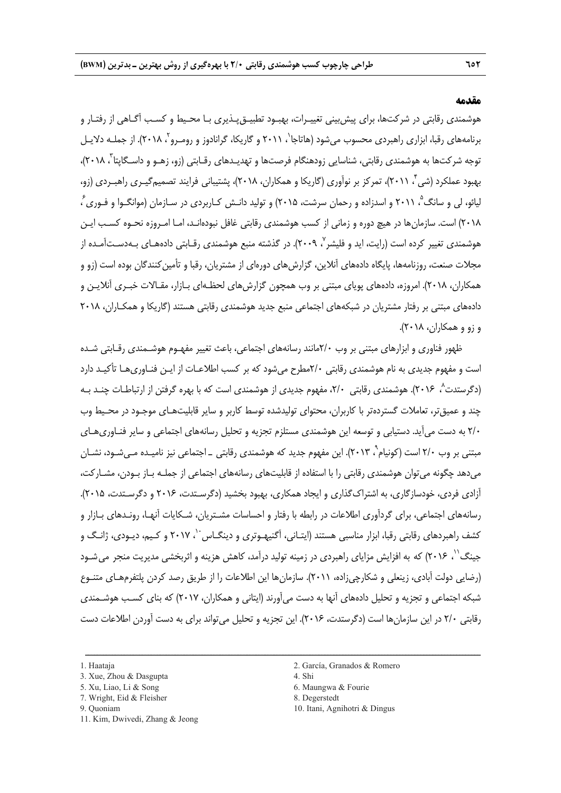#### **مقدمه**

هوشمندي رقابتي در شركتها، براي پيشبيني تغييـرات، بهبـود تطبيـقپـذيري بـا محـيط و كسـب آگـاهي از رفتـار و برنامههای رقبا، ابزاری راهبردی محسوب میشود (هاتاجا<sup>י</sup>، ۲۰۱۱ و گاریکا، گرانادوز و رومـرو<sup>۲</sup> ،۲۰۱۸). از جملـه دلایـل توجه شركتها به هوشمندي رقابتي، شناسايي زودهنگام فرصتها و تهديـدهاي رقـابتي (زو، زهـو و داسـگاپتا ً، ۲۰۱۸)، بهبود عملكرد (شي ، 2011)، تمركز بر نوآوري (گاريكا و همكاران، 2018)، پشتيباني فرايند تصميمگيـري راهبـردي (زو، <sup>4</sup> ليائو، لي و سانگ<sup>°</sup>، ۲۰۱۱ و اسدزاده و رحمان سرشت، ۲۰۱۵) و توليد دانـش كـاربردى در سـازمان (موانگـوا و فـورى ً ، 2018) است. سازمانها در هيچ دوره و زماني از كسب هوشمندي رقابتي غافل نبودهانـد، امـا امـروزه نحـوه كسـب ايـن هوشمندي تغيير كرده است (رايت، ايد و فليشر `، ٢٠٠٩). در گذشته منبع هوشمندي رقـابتي دادههـاي بـهدسـتآمـده از مجلات صنعت، روزنامهها، پايگاه دادههاي آنلاين، گزارشهاي دورهاي از مشتريان، رقبا و تأمين كنندگان بوده است (زو و همكاران، 2018). امروزه، دادههاي پوياي مبتني بر وب همچون گزارشهاي لحظـهاي بـازار، مقـالات خبـري آنلايـن و دادههاي مبتني بر رفتار مشتريان در شبكههاي اجتماعي منبع جديد هوشمندي رقابتي هستند (گاريكا و همكـاران، 2018 و زو و همكاران، 2018).

ظهور فناوري و ابزارهاي مبتني بر وب 2/0مانند رسانههاي اجتماعي، باعث تغيير مفهـوم هوشـمندي رقـابتي شـده است و مفهوم جديدي به نام هوشمندي رقابتي 2/0مطرح ميشود كه بر كسب اطلاعـات از ايـن فنـاوريهـا تأكيـد دارد 8 (دگرستدت ، 2016). هوشمندي رقابتي ،2/0 مفهوم جديدي از هوشمندي است كه با بهره گرفتن از ارتباطـات چنـد بـه چند و عميقتر، تعاملات گستردهتر با كاربران، محتواي توليدشده توسط كاربر و ساير قابليتهـاي موجـود در محـيط وب 2/0 به دست ميآيد. دستيابي و توسعه اين هوشمندي مستلزم تجزيه و تحليل رسانههاي اجتماعي و ساير فنـاوريهـاي مبتنی بر وب ۲/۰ است (کونیام`، ۲۰۱۳). این مفهوم جدید که هوشمندی رقابتی \_ اجتماعی نیز نامیـده مـیشـود، نشـان ميدهد چگونه ميتوان هوشمندي رقابتي را با استفاده از قابليتهاي رسانههاي اجتماعي از جملـه بـاز بـودن، مشـاركت، آزادي فردي، خودسازگاري، به اشتراكگذاري و ايجاد همكاري، بهبود بخشيد (دگرسـتدت، 2016 و دگرسـتدت، 2015). رسانههاي اجتماعي، براي گردآوري اطلاعات در رابطه با رفتار و احساسات مشـتريان، شـكايات آنهـا، رونـدهاي بـازار و كشف راهبردهای رقابتی رقبا، ابزار مناسبی هستند (ایتـانی، آگنیهـوتری و دینگــاس<sup>-`</sup>، ۲۰۱۷ و كـيم، ديـودی، ژانـگ و جینگ'<sup>۱</sup>، ۲۰۱۶) كه به افزايش مزاياي راهبردي در زمينه توليد درآمد، كاهش هزينه و اثربخشي مديريت منجر مي شـود (رضايي دولت آبادي، زينعلي و شكارچيزاده، 2011). سازمانها اين اطلاعات را از طريق رصد كردن پلتفرمهـاي متنـوع شبكه اجتماعي و تجزيه و تحليل دادههاي آنها به دست ميآورند (ايتاني و همكاران، 2017) كه بناي كسـب هوشـمندي رقابتي 2/0 در اين سازمانها است (دگرستدت، 2016). اين تجزيه و تحليل ميتواند براي به دست آوردن اطلاعات دست

- 
- 7. Wright, Eid & Fleisher 8. Degerstedt
- 
- 5. Xu, Liao, Li & Song 6. Maungwa & Fourie
	-
- 9. Quoniam 10. Itani, Agnihotri & Dingus

<sup>3.</sup> Xue, Zhou & Dasgupta 4. Shi

<sup>11.</sup> Kim, Dwivedi, Zhang & Jeong

<sup>1.</sup> Haataja 2. García, Granados & Romero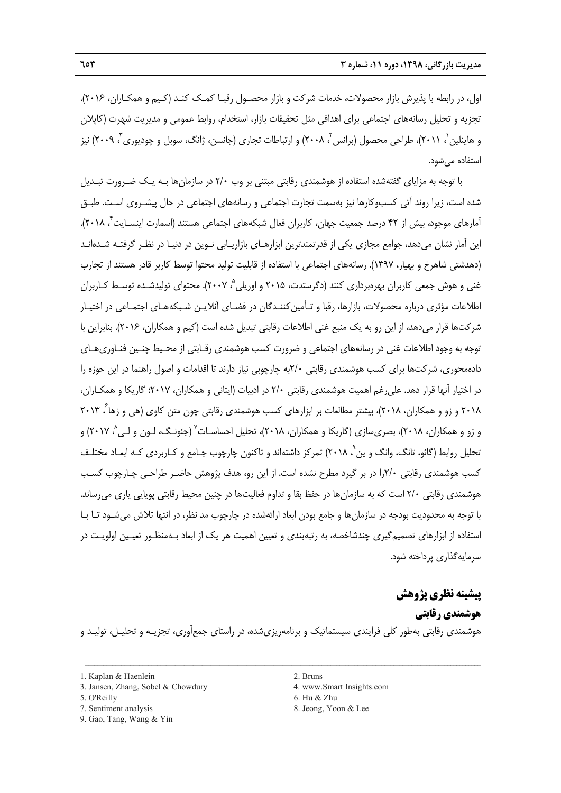اول، در رابطه با پذيرش بازار محصولات، خدمات شركت و بازار محصـول رقبـا كمـك كنـد (كـيم و همكـاران، 2016). تجزيه و تحليل رسانههاي اجتماعي براي اهدافي مثل تحقيقات بازار، استخدام، روابط عمومي و مديريت شهرت (كاپلان و هاينلين ٰ، ٢٠١١)، طراحي محصول (برانس َٰ، ٢٠٠٨) و ارتباطات تجارى (جانسن، ژانگ، سوبل و چوديورى ّ، ٢٠٠٩) نيز استفاده ميشود.

با توجه به مزاياي گفتهشده استفاده از هوشمندي رقابتي مبتني بر وب 2/0 در سازمانها بـه يـك ضـرورت تبـديل شده است، زيرا روند آتي كسبوكارها نيز بهسمت تجارت اجتماعي و رسانههاي اجتماعي در حال پيشـروي اسـت. طبـق ، 2018). <sup>4</sup> آمارهاي موجود، بيش از 42 درصد جمعيت جهان، كاربران فعال شبكههاي اجتماعي هستند (اسمارت اينسـايت اين آمار نشان ميدهد، جوامع مجازي يكي از قدرتمندترين ابزارهـاي بازاريـابي نـوين در دنيـا در نظـر گرفتـه شـدهانـد (دهدشتي شاهرخ و بهيار، 1397). رسانههاي اجتماعي با استفاده از قابليت توليد محتوا توسط كاربر قادر هستند از تجارب غني و هوش جمعي كاربران بهرهبرداري كنند (دگرستدت، ۲۰۱۵ و اوريلي °، ۲۰۰۷). محتواي توليدشـده توسـط كـاربران اطلاعات مؤثري درباره محصولات، بازارها، رقبا و تـأمين كننـدگان در فضـاي آنلايـن شـبكههـاي اجتمـاعي در اختيـار شركتها قرار ميدهد، از اين رو به يك منبع غني اطلاعات رقابتي تبديل شده است (كيم و همكاران، 2016). بنابراين با توجه به وجود اطلاعات غني در رسانههاي اجتماعي و ضرورت كسب هوشمندي رقـابتي از محـيط چنـين فنـاوريهـاي دادهمحوري، شركتها براي كسب هوشمندي رقابتي 2/0به چارچوبي نياز دارند تا اقدامات و اصول راهنما در اين حوزه را در اختيار آنها قرار دهد. عليرغم اهميت هوشمندي رقابتي 2/0 در ادبيات (ايتاني و همكاران، 2017؛ گاريكا و همكـاران، ۲۰۱۸ و زو و همكاران، ۲۰۱۸)، بيشتر مطالعات بر ابزارهاي كسب هوشمندي رقابتي چون متن كاوي (هي و زها<sup>ع</sup>، ۲۰۱۳ و زو و همكاران، ۲۰۱۸)، بصرىسازى (گاريكا و همكاران، ۲۰۱۸)، تحليل احساسـات<sup>٬</sup> (جئونـگ، لـون و لـي<sup>٬</sup>، ۲۰۱۷) و تحليل روابط (گائو، تانگ، وانگ و ين `، ٢٠١٨) تمركز داشتهاند و تاكنون چارچوب جـامع و كـاربردي كـه ابعـاد مختلـف كسب هوشمندي رقابتي 2/0را در بر گيرد مطرح نشده است. از اين رو، هدف پژوهش حاضـر طراحـي چـارچوب كسـب هوشمندي رقابتي 2/0 است كه به سازمانها در حفظ بقا و تداوم فعاليتها در چنين محيط رقابتي پويايي ياري ميرساند. با توجه به محدوديت بودجه در سازمانها و جامع بودن ابعاد ارائهشده در چارچوب مد نظر، در انتها تلاش ميشـود تـا بـا استفاده از ابزارهاي تصميمگيري چندشاخصه، به رتبهبندي و تعيين اهميت هر يك از ابعاد بـهمنظـور تعيـين اولويـت در سرمايهگذاري پرداخته شود.

#### **پيشينه نظري پژوهش**

**هوشمندي رقابتي**  هوشمندي رقابتي بهطور كلي فرايندي سيستماتيك و برنامهريزيشده، در راستاي جمعآوري، تجزيـه و تحليـل، توليـد و

ــــــــــــــــــــــــــــــــــــــــــــــــــــــــــــــــــــــــــــــــــــــــــــــــــــــــــــــــــــــــــــــــــــ

3. Jansen, Zhang, Sobel & Chowdury 4. www.Smart Insights.com

- 
- 9. Gao, Tang, Wang & Yin
- 
- 
- 5. O'Reilly 6. Hu & Zhu
- 7. Sentiment analysis 8. Jeong, Yoon & Lee

<sup>1.</sup> Kaplan & Haenlein 2. Bruns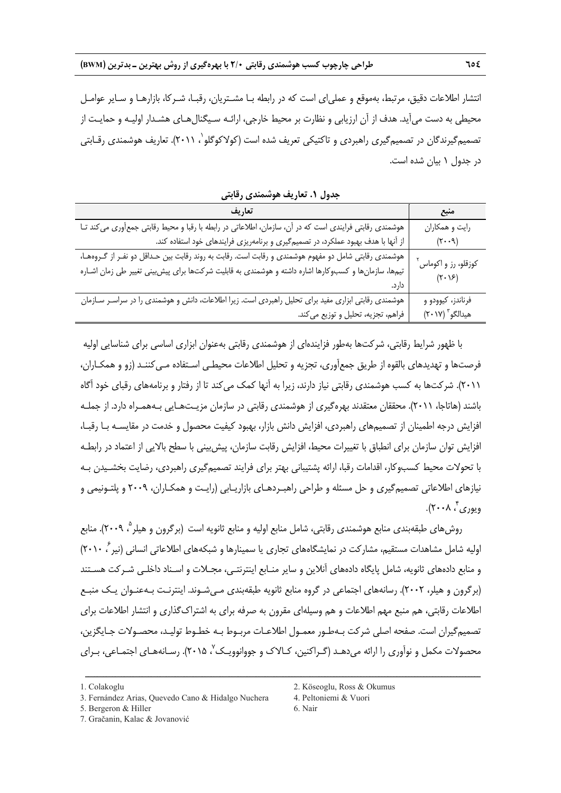انتشار اطلاعات دقيق، مرتبط، بهموقع و عملياي است كه در رابطه بـا مشـتريان، رقبـا، شـركا، بازارهـا و سـاير عوامـل محيطي به دست ميآيد. هدف از آن ارزيابي و نظارت بر محيط خارجي، ارائـه سـيگنالهـاي هشـدار اوليـه و حمايـت از تصميمگيرندگان در تصميمگيري راهبردي و تاكتيكي تعريف شده است (كولاكوگلو`، ۲۰۱۱). تعاريف هوشمندي رقـابتي در جدول 1 بيان شده است.

| تعاريف                                                                                                  | منبع                            |
|---------------------------------------------------------------------------------------------------------|---------------------------------|
| هوشمندی رقابتی فرایندی است که در آن، سازمان، اطلاعاتی در رابطه با رقبا و محیط رقابتی جمعآوری می کند تـا | رايت و همكاران                  |
| از آنها با هدف بهبود عملکرد، در تصمیمگیری و برنامهریزی فرایندهای خود استفاده کند.                       | $(\mathbf{r} \cdot \mathbf{q})$ |
| هوشمندی رقابتی شامل دو مفهوم هوشمندی و رقابت است. رقابت به روند رقابت بین حـداقل دو نفـر از گـروههـا،   | کوزقلو، رز و اکوماس ٰ           |
| تیمها، سازمانها و کسبوکارها اشاره داشته و هوشمندی به قابلیت شرکتها برای پیش بینی تغییر طی زمان اشـاره   | $(\mathbf{Y} \cdot \mathbf{Y})$ |
| دار د.                                                                                                  |                                 |
| هوشمندی رقابتی ابزاری مفید برای تحلیل راهبردی است. زیرا اطلاعات، دانش و هوشمندی را در سراسـر سـازمان    | فرناندز، کیوودو و               |
| فراهم، تجزیه، تحلیل و توزیع می کند.                                                                     | هيدالگو ّ (٢٠١٧)                |

**جدول .1 تعاريف هوشمندي رقابتي** 

با ظهور شرايط رقابتي، شركتها بهطور فزايندهاي از هوشمندي رقابتي بهعنوان ابزاري اساسي براي شناسايي اوليه فرصتها و تهديدهاي بالقوه از طريق جمعآوري، تجزيه و تحليل اطلاعات محيطـي اسـتفاده مـيكننـد (زو و همكـاران، 2011). شركتها به كسب هوشمندي رقابتي نياز دارند، زيرا به آنها كمك ميكند تا از رفتار و برنامههاي رقباي خود آگاه باشند (هاتاجا، 2011). محققان معتقدند بهرهگيري از هوشمندي رقابتي در سازمان مزيـتهـايي بـههمـراه دارد. از جملـه افزايش درجه اطمينان از تصميمهاي راهبردي، افزايش دانش بازار، بهبود كيفيت محصول و خدمت در مقايسـه بـا رقبـا، افزايش توان سازمان براي انطباق با تغييرات محيط، افزايش رقابت سازمان، پيشبيني با سطح بالايي از اعتماد در رابطـه با تحولات محيط كسبوكار، اقدامات رقبا، ارائه پشتيباني بهتر براي فرايند تصميمگيري راهبردي، رضايت بخشـيدن بـه نيازهاي اطلاعاتي تصميمگيري و حل مسئله و طراحي راهبـردهـاي بازاريـابي (رايـت و همكـاران، 2009 و پلتـونيمي و ويوري ً، ۲۰۰۸).

روشهاي طبقهبندي منابع هوشمندي رقابتي، شامل منابع اوليه و منابع ثانويه است (برگرون و هيلر <sup>م</sup>، ٢٠٠٩). منابع اوليه شامل مشاهدات مستقيم، مشاركت در نمايشگاههاي تجاري يا سمينارها و شبكههاي اطلاعاتي انساني (نير ، ۲۰۱۰) و منابع دادههاي ثانويه، شامل پايگاه دادههاي آنلاين و ساير منـابع اينترنتـي، مجـلات و اسـناد داخلـي شـركت هسـتند (برگرون و هيلر، 2002). رسانههاي اجتماعي در گروه منابع ثانويه طبقهبندي مـيشـوند. اينترنـت بـهعنـوان يـك منبـع اطلاعات رقابتي، هم منبع مهم اطلاعات و هم وسيلهاي مقرون به صرفه براي به اشتراكگذاري و انتشار اطلاعات براي تصميمگيران است. صفحه اصلي شركت بـهطـور معمـول اطلاعـات مربـوط بـه خطـوط توليـد، محصـولات جـايگزين، محصولات مكمل و نوآوري را ارائه مي دهـد (گـراكنين، كـالاک و جووانوويـكـ٬ ۲۰۱۵). رسـانههـاي اجتمـاعي، بـراي

<sup>3.</sup> Fernández Arias, Quevedo Cano & Hidalgo Nuchera 4. Peltoniemi & Vuori

<sup>5.</sup> Bergeron & Hiller 6. Nair

<sup>7.</sup> Gračanin, Kalac & Jovanović

<sup>1.</sup> Colakoglu 2. Köseoglu, Ross & Okumus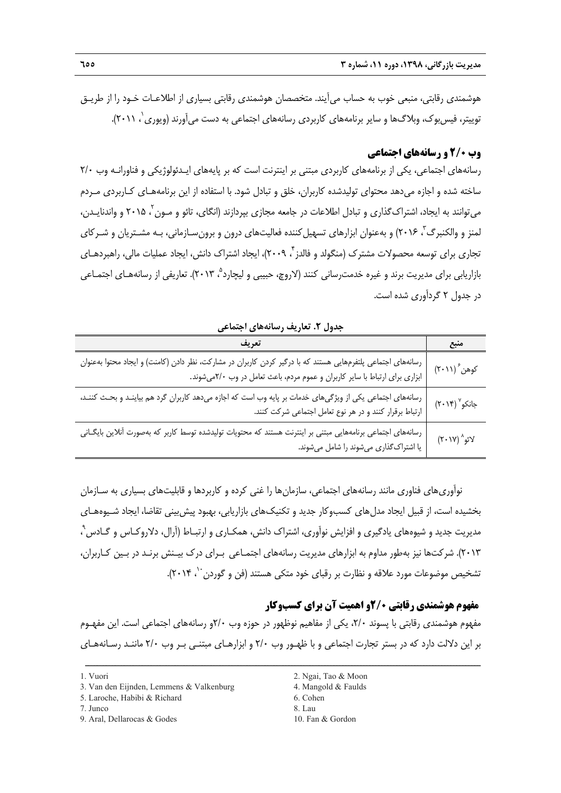**مديريت بازرگاني، ،1398 دوره ،11 شماره 3 655** 

هوشمندي رقابتي، منبعي خوب به حساب ميآيند. متخصصان هوشمندي رقابتي بسياري از اطلاعـات خـود را از طريـق توييتر، فيس بوک، وبلاگ ها و ساير برنامههاي کاربردي رسانههاي اجتماعي به دست مي آورند (ويوري `، ٢٠١١).

## **وب 2/0 و رسانههاي اجتماعي**

رسانههاي اجتماعي، يكي از برنامههاي كاربردي مبتني بر اينترنت است كه بر پايههاي ايـدئولوژيكي و فناورانـه وب 2/0 ساخته شده و اجازه ميدهد محتواي توليدشده كاربران، خلق و تبادل شود. با استفاده از اين برنامههـاي كـاربردي مـردم میتوانند به ایجاد، اشتراک گذاری و تبادل اطلاعات در جامعه مجازی بپردازند (انگای، تائو و مـون <sup>۲</sup>، ۲۰۱۵ و واندنایـدن، لمنز و والكنبرگ<sup>۳</sup>، ۲۰۱۶) و بهعنوان ابزارهاي تسهيل *ك*ننده فعاليتهاي درون و برونسـازماني، بـه مشـتريان و شـركاي تجاري براي توسعه محصولات مشترک (منگولد و فالدز بي ٢٠٠٩)، ايجاد اشتراک دانش، ايجاد عمليات مالي، راهبردهـاي بازاريابي براي مديريت برند و غيره خدمت رساني كنند (لاروچ، حبيبي و ليچارد °، ٢٠١٣). تعاريفي از رسانههـاي اجتمـاعي در جدول 2 گردآوري شده است.

**منبع تعريف** رسانههاي اجتماعي پلتفرمهايي هستند كه با درگير كردن كاربران در مشاركت، نظر دادن (كامنت) و ايجاد محتوا بهعنوانكوهن (٢٠١١) ابزاري براي ارتباط با ساير كاربران و عموم مردم، باعث تعامل در وب 2/0ميشوند.  $(7.14)$  جانكو $(7.14)$ رسانههاي اجتماعي يكي از ويژگيهاي خدمات بر پايه وب است كه اجازه ميدهد كاربران گرد هم بياينـد و بحـث كننـد، ارتباط برقرار كنند و در هر نوع تعامل اجتماعي شركت كنند. رسانههاي اجتماعي برنامههايي مبتني بر اينترنت هستند كه محتويات توليدشده توسط كاربر كه بهصورت آنلاين بايگـانيلائو $^{\wedge}$  (۲۰۱۷) يا اشتراكگذاري ميشوند را شامل ميشوند.

**جدول .2 تعاريف رسانههاي اجتماعي** 

نوآوريهاي فناوري مانند رسانههاي اجتماعي، سازمانها را غني كرده و كاربردها و قابليتهاي بسياري به سـازمان بخشيده است، از قبيل ايجاد مدلهاي كسبوكار جديد و تكنيكهاي بازاريابي، بهبود پيشبيني تقاضا، ايجاد شـيوههـاي مديريت جديد و شيوههاي يادگيري و افزايش نوآوري، اشتراك دانش، همكـاري و ارتبـاط (آرال، دلاروكـاس و گـادس 9 ، 2013). شركتها نيز بهطور مداوم به ابزارهاي مديريت رسانههاي اجتمـاعي بـراي درك بيـنش برنـد در بـين كـاربران، تشخيص موضوعات مورد علاقه و نظارت بر رقباي خود متكي هستند (فن و گوردن ``، ۲۰۱۴).

## **مفهوم هوشمندي رقابتي 2/0و اهميت آن براي كسبوكار**

مفهوم هوشمندي رقابتي با پسوند ،2/0 يكي از مفاهيم نوظهور در حوزه وب 2/0و رسانههاي اجتماعي است. اين مفهـوم بر اين دلالت دارد كه در بستر تجارت اجتماعي و با ظهـور وب 2/0 و ابزارهـاي مبتنـي بـر وب 2/0 ماننـد رسـانههـاي

- 9. Aral, Dellarocas & Godes 10. Fan & Gordon
- 1. Vuori 2. Ngai, Tao & Moon
	-
	-
	-

<sup>3.</sup> Van den Eijnden, Lemmens & Valkenburg 4. Mangold & Faulds

<sup>5.</sup> Laroche, Habibi & Richard 6. Cohen

<sup>7.</sup> Junco 8. Lau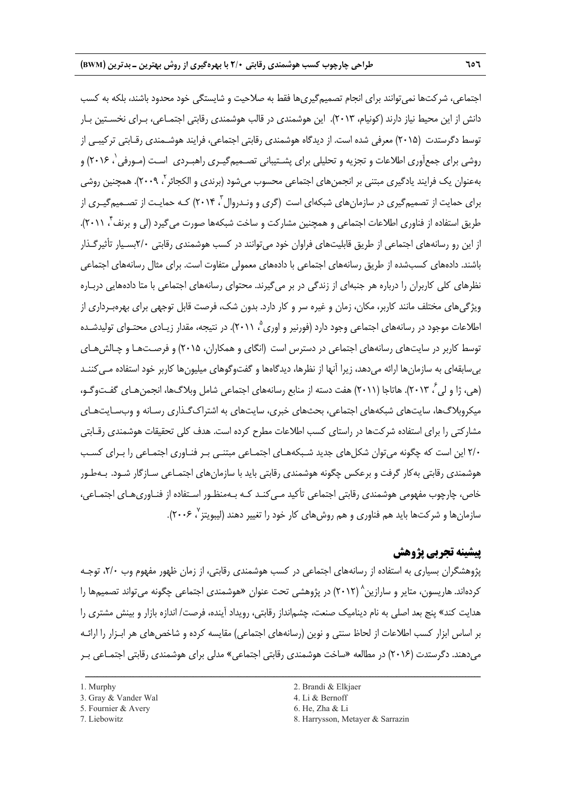اجتماعي، شركتها نميتوانند براي انجام تصميمگيريها فقط به صلاحيت و شايستگي خود محدود باشند، بلكه به كسب دانش از اين محيط نياز دارند (كونيام، 2013). اين هوشمندي در قالب هوشمندي رقابتي اجتمـاعي، بـراي نخسـتين بـار توسط دگرستدت (2015) معرفي شده است. از ديدگاه هوشمندي رقابتي اجتماعي، فرايند هوشـمندي رقـابتي تركيبـي از روشي براي جمعاَوري اطلاعات و تجزيه و تحليلي براي پشــتيباني تصــميمگيـري راهبـردي اسـت (مـورفي`، ۲۰۱۶) و بهعنوان يک فرايند يادگيرى مبتنى بر انجمنهاى اجتماعى محسوب مىشود (برندى و الکجائر <sup>۲</sup>، ۲۰۰۹). همچنين روشى براي حمايت از تصميمگيري در سازمان هاي شبكهاي است (گري و ونـدروال <sup>۲</sup> ۲۰۱۴) كـه حمايـت از تصــميمگيـري از طريق استفاده از فناوري اطلاعات اجتماعي و همچنين مشاركت و ساخت شبكهها صورت مي گيرد (لي و برنف ٌ، ٢٠١١). از اين رو رسانههاي اجتماعي از طريق قابليتهاي فراوان خود ميتوانند در كسب هوشمندي رقابتي 2/0بسـيار تأثيرگـذار باشند. دادههاي كسبشده از طريق رسانههاي اجتماعي با دادههاي معمولي متفاوت است. براي مثال رسانههاي اجتماعي نظرهاي كلي كاربران را درباره هر جنبهاي از زندگي در بر ميگيرند. محتواي رسانههاي اجتماعي با متا دادههايي دربـاره ويژگيهاي مختلف مانند كاربر، مكان، زمان و غيره سر و كار دارد. بدون شك، فرصت قابل توجهي براي بهرهبـرداري از اطلاعات موجود در رسانههاي اجتماعي وجود دارد (فورنير و اوري<sup>م</sup> ۲۰۱۱). در نتيجه، مقدار زيـادي محتـواي توليدشـده توسط كاربر در سايتهاي رسانههاي اجتماعي در دسترس است (انگاي و همكاران، 2015) و فرصـتهـا و چـالشهـاي بيسابقهاي به سازمانها ارائه ميدهد، زيرا آنها از نظرها، ديدگاهها و گفتوگوهاي ميليونها كاربر خود استفاده مـيكننـد (هي، ژا و لي ´، ٢٠١٣). هاتاجا (٢٠١١) هفت دسته از منابع رسانههاي اجتماعي شامل وبلاگـها، انجمن هـاي گفـتوگـو، ميكروبلاگها، سايتهاي شبكههاي اجتماعي، بحثهاي خبري، سايتهاي به اشتراكگـذاري رسـانه و وبسـايتهـاي مشاركتي را براي استفاده شركتها در راستاي كسب اطلاعات مطرح كرده است. هدف كلي تحقيقات هوشمندي رقـابتي 2/0 اين است كه چگونه ميتوان شكلهاي جديد شـبكههـاي اجتمـاعي مبتنـي بـر فنـاوري اجتمـاعي را بـراي كسـب هوشمندي رقابتي بهكار گرفت و برعكس چگونه هوشمندي رقابتي بايد با سازمانهاي اجتمـاعي سـازگار شـود. بـهطـور خاص، چارچوب مفهومي هوشمندي رقابتي اجتماعي تأكيد مـي كنـد كـه بـهمنظـور اسـتفاده از فنـاوري.هـاي اجتمـاعي، سازمانها و شركتها بايد هم فناوري و هم روش هاي كار خود را تغيير دهند (ليبويتز ٬ ۲۰۰۶).

## **پيشينه تجربي پژوهش**

پژوهشگران بسياري به استفاده از رسانههاي اجتماعي در كسب هوشمندي رقابتي، از زمان ظهور مفهوم وب ،2/0 توجـه کر دهاند. هار پسون، متاير و سارازين^ (٢٠١٢) در پژوهشي تحت عنوان «هوشمندي اجتماعي چگونه مي تواند تصميمها را هدايت كند» پنج بعد اصلي به نام ديناميك صنعت، چشمانداز رقابتي، رويداد آينده، فرصت/ اندازه بازار و بينش مشتري را بر اساس ابزار كسب اطلاعات از لحاظ سنتي و نوين (رسانههاي اجتماعي) مقايسه كرده و شاخصهاي هر ابـزار را ارائـه ميدهند. دگرستدت (2016) در مطالعه «ساخت هوشمندي رقابتي اجتماعي» مدلي براي هوشمندي رقابتي اجتمـاعي بـر

- 
- 5. Fournier & Avery 6. He, Zha & Li

<sup>3.</sup> Gray & Vander Wal 4. Li & Bernoff

<sup>1.</sup> Murphy 2. Brandi & Elkjaer

<sup>7.</sup> Liebowitz 8. Harrysson, Metayer & Sarrazin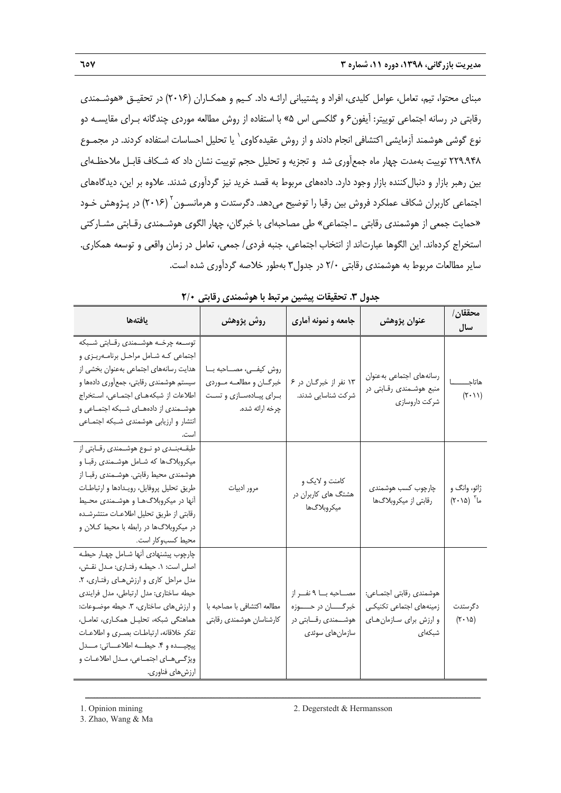مبناي محتوا، تيم، تعامل، عوامل كليدي، افراد و پشتيباني ارائـه داد. كـيم و همكـاران (2016) در تحقيـق «هوشـمندي رقابتي در رسانه اجتماعي توييتر: آيفون6 و گلكسي اس 5» با استفاده از روش مطالعه موردي چندگانه بـراي مقايسـه دو نوع گوشی هوشمند آزمايشی اكتشافی انجام دادند و از روش عقيدهكاوی` يا تحليل احساسات استفاده كردند. در مجمـوع 229.948 توييت بهمدت چهار ماه جمعآوري شد و تجزيه و تحليل حجم توييت نشان داد كه شـكاف قابـل ملاحظـهاي بين رهبر بازار و دنبالكننده بازار وجود دارد. دادههاي مربوط به قصد خريد نيز گردآوري شدند. علاوه بر اين، ديدگاههاي اجتماعی كاربران شكاف عملكرد فروش بين رقبا را توضيح میدهد. دگرستدت و هرمانسـون<sup>٬</sup> (۲۰۱۶) در پـژوهش خـود «حمايت جمعي از هوشمندي رقابتي ـ اجتماعي» طي مصاحبهاي با خبرگان، چهار الگوي هوشـمندي رقـابتي مشـاركتي استخراج كردهاند. اين الگوها عبارتاند از انتخاب اجتماعي، جنبه فردي/ جمعي، تعامل در زمان واقعي و توسعه همكاري. ساير مطالعات مربوط به هوشمندي رقابتي 2/0 در جدول3 بهطور خلاصه گردآوري شده است.

| جدوں ،. تختیفات پیشیں مرتبت با موسستی رتابتی ۱۱۰                                                                                                                                                                                                                                                                                                                                                 |                                                                                                |                                                                                                    |                                                                                         |                                          |  |
|--------------------------------------------------------------------------------------------------------------------------------------------------------------------------------------------------------------------------------------------------------------------------------------------------------------------------------------------------------------------------------------------------|------------------------------------------------------------------------------------------------|----------------------------------------------------------------------------------------------------|-----------------------------------------------------------------------------------------|------------------------------------------|--|
| يافتهها                                                                                                                                                                                                                                                                                                                                                                                          | روش پژوهش                                                                                      | جامعه و نمونه أماري                                                                                | عنوان پژوهش                                                                             | محققان /<br>سال                          |  |
| توسـعه چرخـه هوشــمندى رقــابتى شــبكه<br>اجتماعي كـه شـامل مراحـل برنامـهريـزي و<br>هدایت رسانههای اجتماعی بهعنوان بخشی از<br>سیستم هوشمندی رقابتی، جمعآوری دادهها و<br>اطلاعات از شبکههـای اجتمـاعی، اسـتخراج<br>هوشــمندى از دادههــاى شــبكه اجتمــاعى و<br>انتشار و ارزیابی هوشمندی شبکه اجتماعی                                                                                            | روش كيفيى، مصاحبه با<br>خبرگــان و مطالعــه مــوردي<br>برای پیادهسازی و تست<br>چرخه ارائه شده. | ١٣ نفر از خبرگـان در ۶<br>شركت شناسايى شدند.                                                       | رسانههاى اجتماعى بهعنوان<br>منبع هوشـمندی رقـابتی در<br>شركت داروسازى                   | هاتاجـ<br>(11.7)                         |  |
| طبقــهبنــدى دو نــوع هوشــمندى رقــابتى از<br>میکروبلاگها که شامل هوشمندی رقبا و<br>هوشمندی محیط رقابتی. هوشـمندی رقبـا از<br>طريق تحليل پروفايل، رويـدادها و ارتباطـات<br>آنها در میکروبلاگهـا و هوشـمندی محـیط<br>رقابتى از طريق تحليل اطلاعات منتشرشده<br>در میکروبلاگها در رابطه با محیط کـلان و<br>محيط كسبوكار است.                                                                       | مرور ادبيات                                                                                    | کامنت و لایک و<br>هشتگ های کاربران در<br>ميكروبلاگ ها                                              | چارچوب كسب هوشمندى<br>رقابتی از میکروبلاگها                                             | ژائو، وانگ و<br>ما (۲۰۱۵)                |  |
| چارچوب پیشنهادی آنها شـامل چهـار حیطـه<br>اصلي است: ١. حيطـه رفتـاري: مـدل نقـش،<br>مدل مراحل كارى و ارزش هاى رفتارى، ٢.<br>حيطه ساختاري: مدل ارتباطي، مدل فرايندي<br>و ارزش های ساختاری، ۳. حیطه موضوعات:<br>هماهنگی شبکه، تحلیـل همکـاری، تعامـل،<br>تفكر خلاقانه، ارتباطـات بصـرى و اطلاعـات<br>پيچيــده و ۴. حيطــه اطلاعــاتي: مــدل<br>ویژگیهای اجتماعی، مدل اطلاعـات و<br>ارزشهاي فناوري. | مطالعه اكتشافى با مصاحبه با<br>كارشناسان هوشمندى رقابتى                                        | مصاحبه با ۹ نفر از<br>خبرگــــــــــــــــــــــوزه<br>هوشـــمندي رقـــابتي در<br>سازمان های سوئدی | هوشمندى رقابتى اجتمـاعى:<br>زمینههای اجتماعی تکنیکی<br>و ارزش برای سازمان های<br>شبکهای | دگرستدت<br>$(\mathbf{r}\cdot\mathbf{v})$ |  |

|  | جدول ٣. تحقیقات پیشین مرتبط با هوشمندی رقابتی ٢/٠ |  |  |  |  |  |
|--|---------------------------------------------------|--|--|--|--|--|
|--|---------------------------------------------------|--|--|--|--|--|

<sup>3.</sup> Zhao, Wang & Ma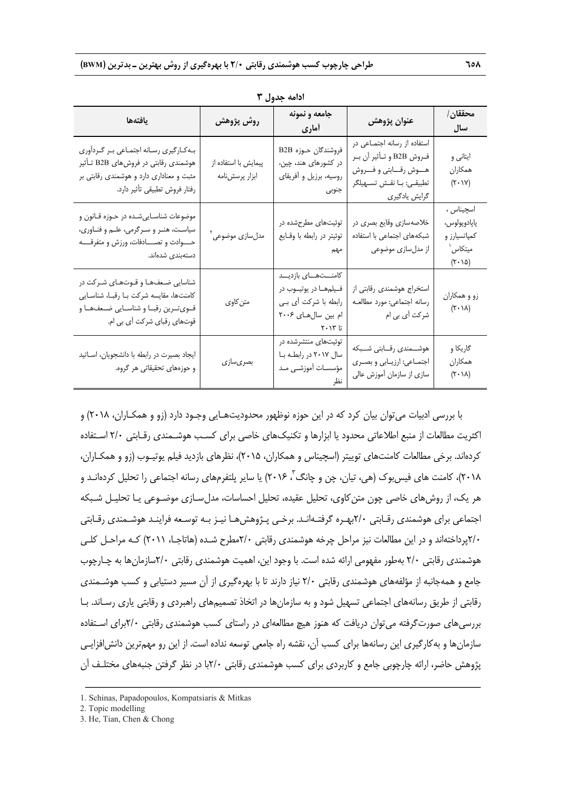| يافتهها                                                                                                                                                        | روش پژوهش                              | جامعه و نمونه<br>أماري                                                                                   | عنوان پژوهش                                                                                                                              | محققان/<br>سال                                                                           |
|----------------------------------------------------------------------------------------------------------------------------------------------------------------|----------------------------------------|----------------------------------------------------------------------------------------------------------|------------------------------------------------------------------------------------------------------------------------------------------|------------------------------------------------------------------------------------------|
| بـهكـارگيري رسـانه اجتمـاعي بـر گـرداّوري<br>هوشمندی رقابتی در فروشهای B2B تـأثیر<br>مثبت و معناداری دارد و هوشمندی رقابتی بر<br>رفتار فروش تطبيقي تأثير دارد. | پیمایش با استفاده از<br>ابزار پرسشiامه | فروشندگان حـوزه B2B<br>در کشورهای هند، چین،<br>روسیه، برزیل و آفریقای<br>جنوبى                           | استفاده از رسانه اجتمـاعی در<br>فـروش B2B و تـأثير أن بـر<br>هـــوش رقـــابتى و فــــروش<br>تطبیقـی: بـا نقـش تســهیلگر<br>گرایش یادگیری | ایتانی و<br>همكاران<br>$(\mathbf{Y}\cdot\mathbf{V})$                                     |
| موضوعات شناسـاييشـده در حـوزه قــانون و<br>سیاست، هنـر و سـرگرمی، علـم و فنـاوری،<br>حـــــوادث و تصــــــادفات، ورزش و متفرقـــــه<br>دستەبندى شدەاند.        | مدلسازی موضوعی ٔ                       | توئیتهای مطرحشده در<br>توئيتر در رابطه با وقـايع<br>مهم                                                  | خلاصهسازي وقايع بصري در<br>شبکههای اجتماعی با استفاده<br>از مدلسازی موضوعی                                                               | اسچيناس ،<br>پاپادوپولوس،<br>کمپاتسیارز و<br>میتکاس ٰ<br>$(\mathbf{r} \cdot \mathbf{r})$ |
| شناسایی ضعفها و قـوتهـای شـرکت در<br>كامنتها، مقايسه شركت با رقبا، شناسايي<br>قـوىتـرين رقبـا و شناسـايي ضـعفـهـا و<br>قوتهای رقبای شرکت آی بی ام.             | متن كاوي                               | كامنــتهــاى بازديــد<br>فيلمها در يوتيــوب در<br>رابطه با شرکت أی بـی<br>ام بین سال۱های ۲۰۰۶<br>تا ۲۰۱۳ | استخراج هوشمندى رقابتى از<br>رسانه اجتماعي: مورد مطالعـه<br>شرکت اً <i>ی</i> بی ام                                                       | زو و همکاران<br>$(\tau \cdot \Delta)$                                                    |
| ایجاد بصیرت در رابطه با دانشجویان، اسـاتید<br>و حوزههای تحقیقاتی هر گروه.                                                                                      | بصرىسازى                               | توئیتهای منتشرشده در<br>سال ۲۰۱۷ در رابطه با<br>مؤسسـات أموزشـى مـد                                      | هوشـــمندى رقـــابتى شـــبكه<br>اجتماعي: ارزيابي و بصرى<br>سازی از سازمان آموزش عالی                                                     | گاريکا و<br>همكاران<br>$(\mathbf{r}\cdot\mathbf{v})$                                     |

**ادامه جدول 3** 

با بررسي ادبيات ميتوان بيان كرد كه در اين حوزه نوظهور محدوديتهـايي وجـود دارد (زو و همكـاران، 2018) و اكثريت مطالعات از منبع اطلاعاتي محدود يا ابزارها و تكنيكهاي خاصي براي كسـب هوشـمندي رقـابتي 2/0 اسـتفاده كردهاند. برخي مطالعات كامنتهاي توييتر (اسچيناس و همكاران، 2015)، نظرهاي بازديد فيلم يوتيـوب (زو و همكـاران، ۲۰۱۸)، كامنت هاى فيس بوک (هى، تيان، چن و چانگ ،ّ ۲۰۱۶) يا ساير پلتفرمهاى رسانه اجتماعى را تحليل كردهانـد و هر يك، از روشهاي خاصي چون متنكاوي، تحليل عقيده، تحليل احساسات، مدلسـازي موضـوعي يـا تحليـل شـبكه اجتماعي براي هوشمندي رقـابتي 2/0بهـره گرفتـهانـد. برخـي پـژوهشهـا نيـز بـه توسـعه فراينـد هوشـمندي رقـابتي 2/0پرداختهاند و در اين مطالعات نيز مراحل چرخه هوشمندي رقابتي 2/0مطرح شـده (هاتاجـا، 2011) كـه مراحـل كلـي هوشمندي رقابتي 2/0 بهطور مفهومي ارائه شده است. با وجود اين، اهميت هوشمندي رقابتي 2/0سازمانها به چـارچوب جامع و همهجانبه از مؤلفههاي هوشمندي رقابتي 2/0 نياز دارند تا با بهرهگيري از آن مسير دستيابي و كسب هوشـمندي رقابتي از طريق رسانههاي اجتماعي تسهيل شود و به سازمانها در اتخاذ تصميمهاي راهبردي و رقابتي ياري رسـاند. بـا بررسيهاي صورتگرفته ميتوان دريافت كه هنوز هيچ مطالعهاي در راستاي كسب هوشمندي رقابتي 2/0براي اسـتفاده سازمانها و بهكارگيري اين رسانهها براي كسب آن، نقشه راه جامعي توسعه نداده است. از اين رو مهمترين دانشافزايـي پژوهش حاضر، ارائه چارچوبي جامع و كاربردي براي كسب هوشمندي رقابتي 2/0با در نظر گرفتن جنبههاي مختلـف آن

<sup>1.</sup> Schinas, Papadopoulos, Kompatsiaris & Mitkas

<sup>2.</sup> Topic modelling

<sup>3.</sup> He, Tian, Chen & Chong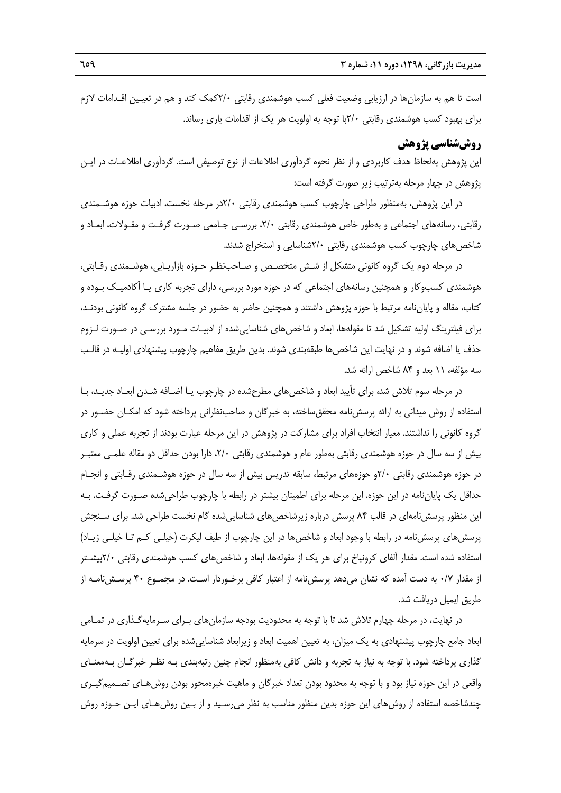است تا هم به سازمانها در ارزيابي وضعيت فعلي كسب هوشمندي رقابتي 2/0كمك كند و هم در تعيـين اقـدامات لازم براي بهبود كسب هوشمندي رقابتي 2/0با توجه به اولويت هر يك از اقدامات ياري رساند.

#### **روششناسي پژوهش**

اين پژوهش بهلحاظ هدف كاربردي و از نظر نحوه گردآوري اطلاعات از نوع توصيفي است. گردآوري اطلاعـات در ايـن پژوهش در چهار مرحله بهترتيب زير صورت گرفته است:

در اين پژوهش، بهمنظور طراحي چارچوب كسب هوشمندي رقابتي 2/0در مرحله نخست، ادبيات حوزه هوشـمندي رقابتي، رسانههاي اجتماعي و بهطور خاص هوشمندي رقابتي ،2/0 بررسـي جـامعي صـورت گرفـت و مقـولات، ابعـاد و شاخص هاي چارچوب كسب هوشمندي رقابتي ٢/٠شناسايي و استخراج شدند.

در مرحله دوم يك گروه كانوني متشكل از شـش متخصـص و صـاحبنظـر حـوزه بازاريـابي، هوشـمندي رقـابتي، هوشمندي كسبوكار و همچنين رسانههاي اجتماعي كه در حوزه مورد بررسي، داراي تجربه كاري يـا آكادميـك بـوده و كتاب، مقاله و پاياننامه مرتبط با حوزه پژوهش داشتند و همچنين حاضر به حضور در جلسه مشترك گروه كانوني بودنـد، براي فيلترينگ اوليه تشكيل شد تا مقولهها، ابعاد و شاخصهاي شناساييشده از ادبيـات مـورد بررسـي در صـورت لـزوم حذف يا اضافه شوند و در نهايت اين شاخصها طبقهبندي شوند. بدين طريق مفاهيم چارچوب پيشنهادي اوليـه در قالـب سه مؤلفه، 11 بعد و 84 شاخص ارائه شد.

در مرحله سوم تلاش شد، براي تأييد ابعاد و شاخصهاي مطرح شده در چارچوب يـا اضـافه شـدن ابعـاد جديـد، بـا استفاده از روش ميداني به ارائه پرسشنامه محققساخته، به خبرگان و صاحبنظراني پرداخته شود كه امكـان حضـور در گروه كانوني را نداشتند. معيار انتخاب افراد براي مشاركت در پژوهش در اين مرحله عبارت بودند از تجربه عملي و كاري بيش از سه سال در حوزه هوشمندي رقابتي بهطور عام و هوشمندي رقابتي ،2/0 دارا بودن حداقل دو مقاله علمـي معتبـر در حوزه هوشمندي رقابتي 2/0و حوزههاي مرتبط، سابقه تدريس بيش از سه سال در حوزه هوشـمندي رقـابتي و انجـام حداقل يك پاياننامه در اين حوزه. اين مرحله براي اطمينان بيشتر در رابطه با چارچوب طراحيشده صـورت گرفـت. بـه اين منظور پرسشنامهاي در قالب 84 پرسش درباره زيرشاخصهاي شناساييشده گام نخست طراحي شد. براي سـنجش پرسشهاي پرسشنامه در رابطه با وجود ابعاد و شاخصها در اين چارچوب از طيف ليكرت (خيلـي كـم تـا خيلـي زيـاد) استفاده شده است. مقدار آلفاي كرونباخ براي هر يك از مقولهها، ابعاد و شاخصهاي كسب هوشمندي رقابتي 2/0بيشـتر از مقدار 0/7 به دست آمده كه نشان ميدهد پرسشنامه از اعتبار كافي برخـوردار اسـت. در مجمـوع 40 پرسـشنامـه از طريق ايميل دريافت شد.

در نهايت، در مرحله چهارم تلاش شد تا با توجه به محدوديت بودجه سازمانهاي بـراي سـرمايهگـذاري در تمـامي ابعاد جامع چارچوب پيشنهادي به يك ميزان، به تعيين اهميت ابعاد و زيرابعاد شناساييشده براي تعيين اولويت در سرمايه گذاري پرداخته شود. با توجه به نياز به تجربه و دانش كافي بهمنظور انجام چنين رتبهبندي بـه نظـر خبرگـان بـهمعنـاي واقعي در اين حوزه نياز بود و با توجه به محدود بودن تعداد خبرگان و ماهيت خبرهمحور بودن روشهـاي تصـميمگيـري چندشاخصه استفاده از روشهاي اين حوزه بدين منظور مناسب به نظر ميرسـيد و از بـين روشهـاي ايـن حـوزه روش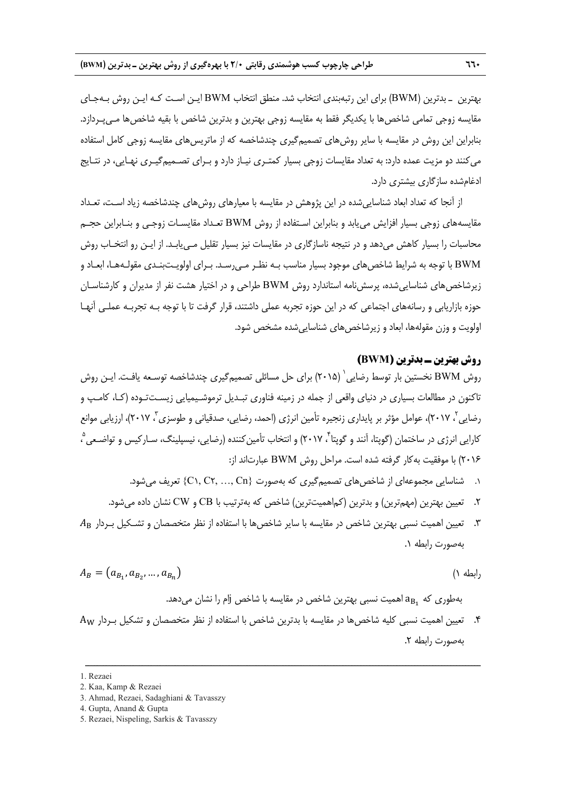بهترين ـ بدترين (BWM (براي اين رتبهبندي انتخاب شد. منطق انتخاب BWM ايـن اسـت كـه ايـن روش بـهجـاي مقايسه زوجي تمامي شاخصها با يكديگر فقط به مقايسه زوجي بهترين و بدترين شاخص با بقيه شاخصها مـيپـردازد. بنابراين اين روش در مقايسه با ساير روشهاي تصميمگيري چندشاخصه كه از ماتريسهاي مقايسه زوجي كامل استفاده ميكنند دو مزيت عمده دارد: به تعداد مقايسات زوجي بسيار كمتـري نيـاز دارد و بـراي تصـميمگيـري نهـايي، در نتـايج ادغامشده سازگاري بيشتري دارد.

از آنجا كه تعداد ابعاد شناساييشده در اين پژوهش در مقايسه با معيارهاي روشهاي چندشاخصه زياد اسـت، تعـداد مقايسههاي زوجي بسيار افزايش مييابد و بنابراين اسـتفاده از روش BWM تعـداد مقايسـات زوجـي و بنـابراين حجـم محاسبات را بسيار كاهش ميدهد و در نتيجه ناسازگاري در مقايسات نيز بسيار تقليل مـييابـد. از ايـن رو انتخـاب روش BWM با توجه به شرايط شاخصهاي موجود بسيار مناسب بـه نظـر مـيرسـد. بـراي اولويـتبنـدي مقولـههـا، ابعـاد و زيرشاخصهاي شناساييشده، پرسشنامه استاندارد روش BWM طراحي و در اختيار هشت نفر از مديران و كارشناسـان حوزه بازاريابي و رسانههاي اجتماعي كه در اين حوزه تجربه عملي داشتند، قرار گرفت تا با توجه بـه تجربـه عملـي آنهـا اولويت و وزن مقولهها، ابعاد و زيرشاخصهاي شناساييشده مشخص شود.

#### **روش بهترين ـ بدترين (BWM (**

روش BWM نخستين بار توسط رضايي ` (٢٠١۵) براي حل مسائلي تصميمگيري چندشاخصه توسـعه يافـت. ايـن روش تاكنون در مطالعات بسياري در دنياي واقعي از جمله در زمينه فناوري تبـديل ترموشـيميايي زيسـتتـوده (كـا، كامـپ و رضايي <sup>7</sup>، ٢٠١٧)، عوامل مؤثر بر پايداري زنجيره تأمين انرژي (احمد، رضايي، صدقياني و طوسزي <sup>7</sup>، ٢٠١٧)، ارزيابي موانع کارايی انرژی در ساختمان (گوپتا، آنند و گوپتا<sup>۲</sup>، ۲۰۱۷) و انتخاب تأمين *ک*ننده (رضايی، نيسپلينگ، سـاركيس و تواضـعی <sup>۹</sup> ، 2016) با موفقيت بهكار گرفته شده است. مراحل روش BWM عبارتاند از:

- ۰۱ شناسايي مجموعهاي از شاخص هاي تصميم گيري كه بهصورت {C١, C٢, …, Cn} تعريف مي شود.
- .2 تعيين بهترين (مهمترين) و بدترين (كماهميتترين) شاخص كه بهترتيب با CB و CW نشان داده ميشود.
- .3 تعيين اهميت نسبي بهترين شاخص در مقايسه با ساير شاخصها با استفاده از نظر متخصصان و تشـكيل بـردار ܣ بهصورت رابطه .1

$$
A_B = (a_{B_1}, a_{B_2}, ..., a_{B_n})
$$
\n<sup>(1)</sup>

بهطوري كه  $a_{\rm B_1}$ اهميت نسبي بهترين شاخص در مقايسه با شاخص إام را نشان مي دهد.

.4 تعيين اهميت نسبي كليه شاخصها در مقايسه با بدترين شاخص با استفاده از نظر متخصصان و تشكيل بـردار A بهصورت رابطه .2

<sup>1.</sup> Rezaei

<sup>2.</sup> Kaa, Kamp & Rezaei

<sup>3.</sup> Ahmad, Rezaei, Sadaghiani & Tavasszy

<sup>4.</sup> Gupta, Anand & Gupta

<sup>5.</sup> Rezaei, Nispeling, Sarkis & Tavasszy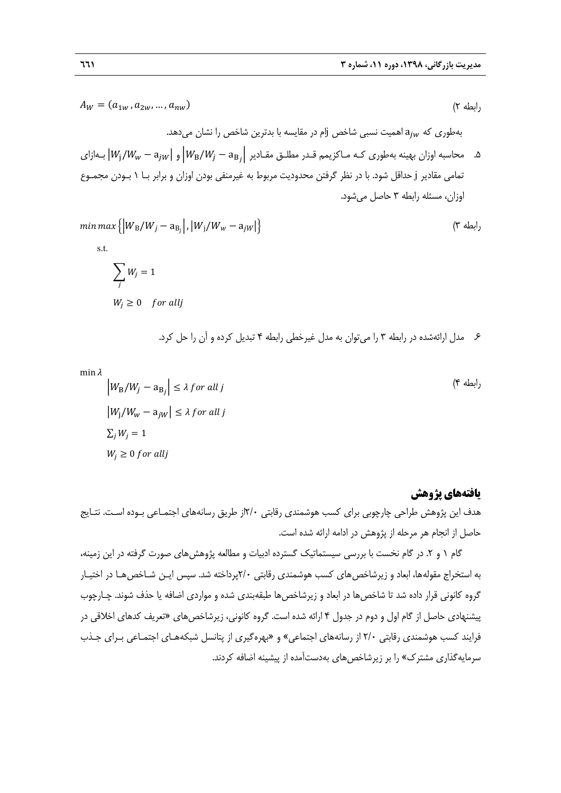$$
A_W = (a_{1w}, a_{2w}, ..., a_{nw})
$$
 (7)

بهطوري كه  $a_{jw}$  اهميت نسبي شاخص jأم در مقايسه با بدترين شاخص را نشان ميدهد.

ه. محاسبه اوزان بهينه بهطوري كـه مـاكزيمم قـدر مطلـق مقـادير  $|W_{\rm B}/W_{I}-{\rm a}_{\rm B}|$  و  $|W_{\rm i}/W_{\rm w}-{\rm a}_{\rm jW}|$  بـهازاي تمامي مقادير j حداقل شود. با در نظر گرفتن محدوديت مربوط به غيرمنفي بودن اوزان و برابر بـا 1 بـودن مجمـوع اوزان، مسئله رابطه 3 حاصل ميشود.

$$
\min \max \left\{ \left| W_{\text{B}}/W_j - a_{\text{B}_j} \right|, \left| W_j/W_w - a_{jW} \right| \right\}
$$
\ns.t.

\n
$$
\sum_{j} W_j = 1
$$
\n
$$
W_j \geq 0 \quad \text{for all } j
$$

.6 مدل ارائهشده در رابطه 3 را ميتوان به مدل غيرخطي رابطه 4 تبديل كرده و آن را حل كرد.

 $min \lambda$ 

$$
\left|W_{\rm B}/W_j - a_{\rm B_j}\right| \le \lambda \text{ for all } j
$$
  
\n
$$
\left|W_j/W_w - a_{jw}\right| \le \lambda \text{ for all } j
$$
  
\n
$$
\sum_j W_j = 1
$$
  
\n
$$
W_j \ge 0 \text{ for all } j
$$

## **يافتههاي پژوهش**

رابطه 4)

هدف اين پژوهش طراحي چارچوبي براي كسب هوشمندي رقابتي 2/0از طريق رسانههاي اجتمـاعي بـوده اسـت. نتـايج حاصل از انجام هر مرحله از پژوهش در ادامه ارائه شده است.

گام ۱ و ۲. در گام نخست با بررسي سيستماتيک گسترده ادبيات و مطالعه پژوهش هاي صورت گرفته در اين زمينه، به استخراج مقولهها، ابعاد و زيرشاخص هاي كسب هوشمندي رقابتي ٢/٠يرداخته شد. سپس ايـن شـاخص هـا در اختيـار گروه كانوني قرار داده شد تا شاخصها در ابعاد و زيرشاخصها طبقهبندي شده و مواردي اضافه يا حذف شوند. چـارچوب پيشنهادي حاصل از گام اول و دوم در جدول 4 ارائه شده است. گروه كانوني، زيرشاخصهاي «تعريف كدهاي اخلاقي در فرايند كسب هوشمندي رقابتي 2/0 از رسانههاي اجتماعي» و «بهرهگيري از پتانسل شبكههـاي اجتمـاعي بـراي جـذب سرمايهگذاري مشترك» را بر زيرشاخصهاي بهدستآمده از پيشينه اضافه كردند.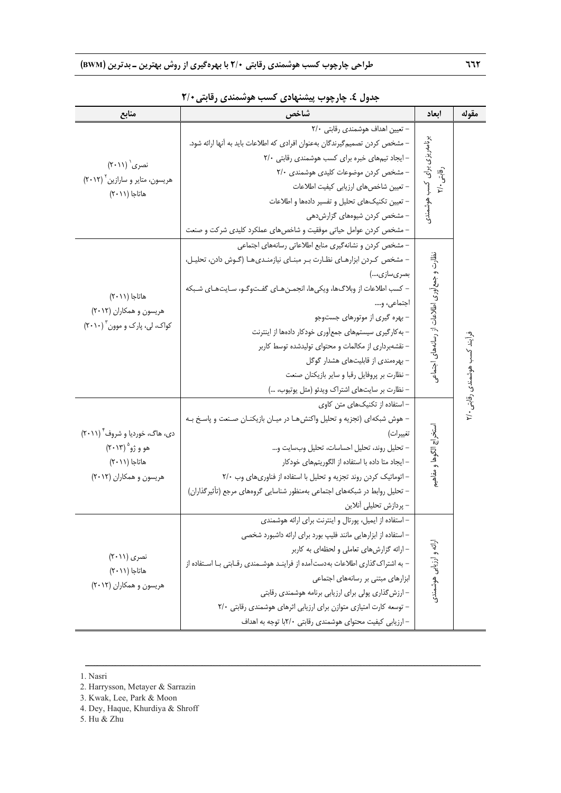| منابع                                                                                                   | شاخص                                                                                                                                                                                                                                                                                                                                                                                                                                                                                                                                                | أبعاد                                       | مقوله                         |
|---------------------------------------------------------------------------------------------------------|-----------------------------------------------------------------------------------------------------------------------------------------------------------------------------------------------------------------------------------------------------------------------------------------------------------------------------------------------------------------------------------------------------------------------------------------------------------------------------------------------------------------------------------------------------|---------------------------------------------|-------------------------------|
| نصری (۲۰۱۱)<br>هریسون، متایر و سارازین ۲۰۱۲)<br>هاتاجا (٢٠١١)                                           | - تعیین اهداف هوشمندی رقابتی ۲/۰<br>– مشخص کردن تصمیمگیرندگان بهعنوان افرادی که اطلاعات باید به آنها ارائه شود.<br>- ایجاد تیمهای خبره برای کسب هوشمندی رقابتی ٢/٠<br>- مشخص کردن موضوعات کلیدی هوشمندی ۲/۰<br>– تعیین شاخصهای ارزیابی کیفیت اطلاعات<br>– تعیین تکنیکهای تحلیل و تفسیر دادهها و اطلاعات<br>– مشخص کردن شیوههای گزارشدهی<br>– مشخص کردن عوامل حیاتی موفقیت و شاخصهای عملکرد کلیدی شرکت و صنعت<br>– مشخص کردن و نشانهگیری منابع اطلاعاتی رسانههای اجتماعی<br>- مشخص كردن ابزارهـاى نظـارت بـر مبنـاى نيازمنـدىهـا (گـوش دادن، تحليـل، | برنامه ریزی برای کسب هوشمندی<br>رقابتی ۲/۰  |                               |
| هاتاجا (٢٠١١)<br>هریسون و همکاران (۲۰۱۲)<br>کواک، لی، پارک و موون ۲۰۱۰)                                 | بصری سازی،)<br>– كسب اطلاعات از وبلاگ ها، ويكي ها، انجمـن هـاي گفـتوگـو، سـايت هـاي شـبكه<br>اجتماعي، و….<br>– بهره گیری از موتورهای جستوجو<br>- به کارگیری سیستمهای جمعآوری خودکار دادهها از اینترنت<br>– نقشهبرداری از مکالمات و محتوای تولیدشده توسط کاربر<br>- بهرهمندی از قابلیتهای هشدار گوگل<br>– نظارت بر پروفایل رقبا و سایر بازیکنان صنعت<br>– نظارت بر سایتهای اشتراک ویدئو (مثل یوتیوب، )                                                                                                                                               | نظارت و جمع[وری اطلاعات از رسانههای اجتماعی | فرایند کسب هوشمندی رقابتی ۲/۰ |
| دی، هاگ، خوردیا و شروف ۲۰۱۱)<br>هو و ژو <sup>۵</sup> (۲۰۱۳)<br>هاتاجا (۲۰۱۱)<br>هریسون و همکاران (۲۰۱۲) | - استفاده از تکنیکهای متن کاوی<br>– هوش شبکهای (تجزیه و تحلیل واکنش هـا در میـان بازیکنـان صـنعت و پاسـخ بـه<br>تغييرات)<br>– تحليل روند، تحليل احساسات، تحليل وبسايت و<br>– ایجاد متا داده با استفاده از الگوریتمهای خودکار<br>- اتوماتیک کردن روند تجزیه و تحلیل با استفاده از فناوری های وب ٢/٠<br>– تحلیل روابط در شبکههای اجتماعی بهمنظور شناسایی گروههای مرجع (تأثیرگذاران)<br>– پردازش تحلیلی آنلاین                                                                                                                                         | ستخراج الكوها و مفاهيم                      |                               |
| نصری (۲۰۱۱)<br>هاتاجا (٢٠١١)<br>هریسون و همکاران (۲۰۱۲)                                                 | – استفاده از ایمیل، پورتال و اینترنت برای ارائه هوشمندی<br>– استفاده از ابزارهایی مانند فلیپ بورد برای ارائه داشبورد شخصی<br>- ارائه گزارشهای تعاملی و لحظهای به کاربر<br>– به اشتراک گذاری اطلاعات به دست آمده از فراینـد هوشـمندی رقـابتی بـا اسـتفاده از<br>ابزارهای مبتنی بر رسانههای اجتماعی<br>– ارزش گذاری پولی برای ارزیابی برنامه هوشمندی رقابتی<br>- توسعه کارت امتیازی متوازن برای ارزیابی اثرهای هوشمندی رقابتی ۲/۰<br>– ارزیابی کیفیت محتوای هوشمندی رقابتی ۲/۰با توجه به اهداف                                                        | ارائه و ارزیابی هوشمندی                     |                               |

ــــــــــــــــــــــــــــــــــــــــــــــــــــــــــــــــــــــــــــــــــــــــــــــــــــــــــــــــــــــــــــــــــــ

**جدول .4 چارچوب پيشنهادي كسب هوشمندي رقابتي2/0** 

1. Nasri

<sup>2.</sup> Harrysson, Metayer & Sarrazin

<sup>3.</sup> Kwak, Lee, Park & Moon

<sup>4.</sup> Dey, Haque, Khurdiya & Shroff

<sup>5.</sup> Hu & Zhu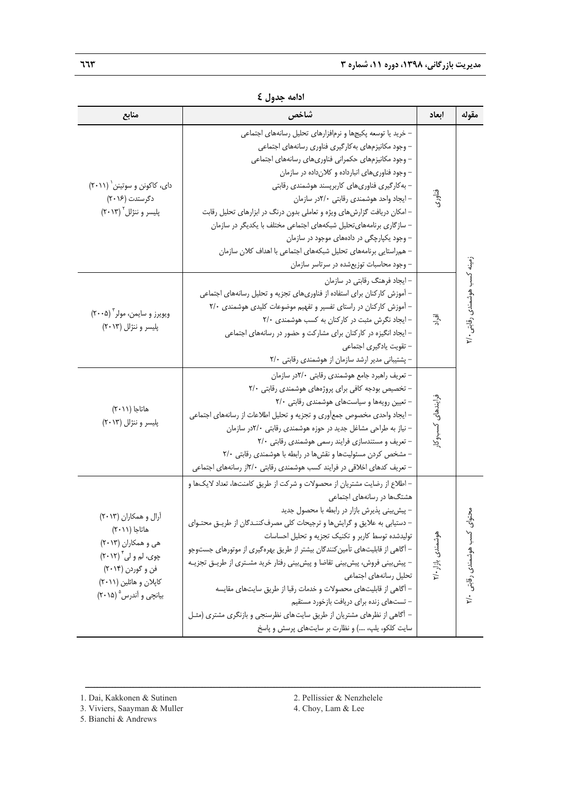| منابع                                                                                                                                                                       | شاخص                                                                                                                                                                                                                                                                                                                                                                                                                                                                                                                                                                                                                                                                                                                                 | ابعاد             | مقوله                                  |
|-----------------------------------------------------------------------------------------------------------------------------------------------------------------------------|--------------------------------------------------------------------------------------------------------------------------------------------------------------------------------------------------------------------------------------------------------------------------------------------------------------------------------------------------------------------------------------------------------------------------------------------------------------------------------------------------------------------------------------------------------------------------------------------------------------------------------------------------------------------------------------------------------------------------------------|-------------------|----------------------------------------|
| دای، کاکونن و سوتینن ` (۲۰۱۱)<br>دگرستدت (۲۰۱۶)<br>پلیسر و ننژلل ۲۰۱۳)                                                                                                      | – خرید یا توسعه پکیجها و نرمافزارهای تحلیل رسانههای اجتماعی<br>– وجود مكانيزمهاى بهكارگيرى فناورى رسانههاى اجتماعى<br>– وجود مكانيزمهاى حكمرانى فناورىهاى رسانههاى اجتماعى<br>- وجود فناوری های انبارداده و کلان داده در سازمان<br>– بەكارگیرى فناورىھاى كاربرپسند ھوشمندى رقابتى<br>– ایجاد واحد هوشمندی رقابتی ۲/۰در سازمان<br>– امکان دریافت گزارشهای ویژه و تعاملی بدون درنگ در ابزارهای تحلیل رقابت<br>– سازگاری برنامههای تحلیل شبکههای اجتماعی مختلف با یکدیگر در سازمان<br>- وجود یکپارچگی در دادههای موجود در سازمان<br>– همراستایی برنامههای تحلیل شبکههای اجتماعی با اهداف کلان سازمان<br>– وجود محاسبات توزیعشده در سرتاسر سازمان                                                                                        | فناوری            |                                        |
| ويويرز و سايمن، مولر ٢٠٠٥)<br>پلیسر و ننژلل (۲۰۱۳)                                                                                                                          | – ایجاد فرهنگ رقابتی در سازمان<br>– آموزش کارکنان برای استفاده از فناوریهای تجزیه و تحلیل رسانههای اجتماعی<br>– آموزش کارکنان در راستای تفسیر و تفهیم موضوعات کلیدی هوشمندی ۲/۰<br>- ایجاد نگرش مثبت در کارکنان به کسب هوشمندی ٢/٠<br>– ایجاد انگیزه در کارکنان برای مشارکت و حضور در رسانههای اجتماعی<br>– تقويت يادگيري اجتماعي<br>- پشتیبانی مدیر ارشد سازمان از هوشمندی رقابتی ٢/٠                                                                                                                                                                                                                                                                                                                                               | آقراد             | زمینه کسب هوشمندی رقابتی ۲/۰           |
| هاتاجا (٢٠١١)<br>پلیسر و ننژلل (۲۰۱۳)                                                                                                                                       | - تعریف راهبرد جامع هوشمندی رقابتی ۲/۰در سازمان<br>- تخصیص بودجه کافی برای پروژههای هوشمندی رقابتی ٢/٠<br>- تعیین رویهها و سیاستهای هوشمندی رقابتی ٢/٠<br>– ایجاد واحدی مخصوص جمعآوری و تجزیه و تحلیل اطلاعات از رسانههای اجتماعی<br>- نیاز به طراحی مشاغل جدید در حوزه هوشمندی رقابتی ۲/۰در سازمان<br>- تعریف و مستندسازی فرایند رسمی هوشمندی رقابتی ۲/۰<br>– مشخص کردن مسئولیتها و نقشها در رابطه با هوشمندی رقابتی ۲/۰<br>– تعریف کدهای اخلاقی در فرایند کسب هوشمندی رقابتی ۲/۰از رسانههای اجتماعی                                                                                                                                                                                                                                | فرايندهاى كسبوكار |                                        |
| آرال و همکاران (۲۰۱۳)<br>هاتاجا (۲۰۱۱)<br>هی و همکاران (۲۰۱۳)<br>چوی، لم و لی ٔ (۲۰۱۲)<br>فن و گوردن (۲۰۱۴)<br>کاپلان و هائلین (۲۰۱۱)<br>بیانچی و آندرس <sup>۵</sup> (۲۰۱۵) | – اطلاع از رضایت مشتریان از محصولات و شرکت از طریق کامنتها، تعداد لایکها و<br>هشتگها در رسانههای اجتماعی<br>- پیشبینی پذیرش بازار در رابطه با محصول جدید<br>– دستیابی به علایق و گرایش ها و ترجیحات کلی مصرف کننـدگان از طریـق محتـوای<br>تولیدشده توسط کاربر و تکنیک تجزیه و تحلیل احساسات<br>– آگاهی از قابلیتهای تأمین کنندگان بیشتر از طریق بهرهگیری از موتورهای جستوجو<br>– پیش بینی فروش، پیش بینی تقاضا و پیش بینی رفتار خرید مشـتری از طریـق تجزیـه<br>تحليل رسانههاى اجتماعى<br>– آگاهی از قابلیتهای محصولات و خدمات رقبا از طریق سایتهای مقایسه<br>– تستهای زنده برای دریافت بازخورد مستقیم<br>– أگاهی از نظرهای مشتریان از طریق سایتهای نظرسنجی و بازنگری مشتری (مثـل<br>سایت کلکو، پلپ، ) و نظارت بر سایتهای پرسش و پاسخ | هوشمندي بازار ۲/۰ | محتواى<br>$\int$<br>هوشمندى رقابتى ۲/۰ |

|  | ادامه جدول £ |  |  |
|--|--------------|--|--|
|--|--------------|--|--|

- 3. Viviers, Saayman & Muller 4. Choy, Lam & Lee
- 5. Bianchi & Andrews
- 
- 

<sup>1.</sup> Dai, Kakkonen & Sutinen 2. Pellissier & Nenzhelele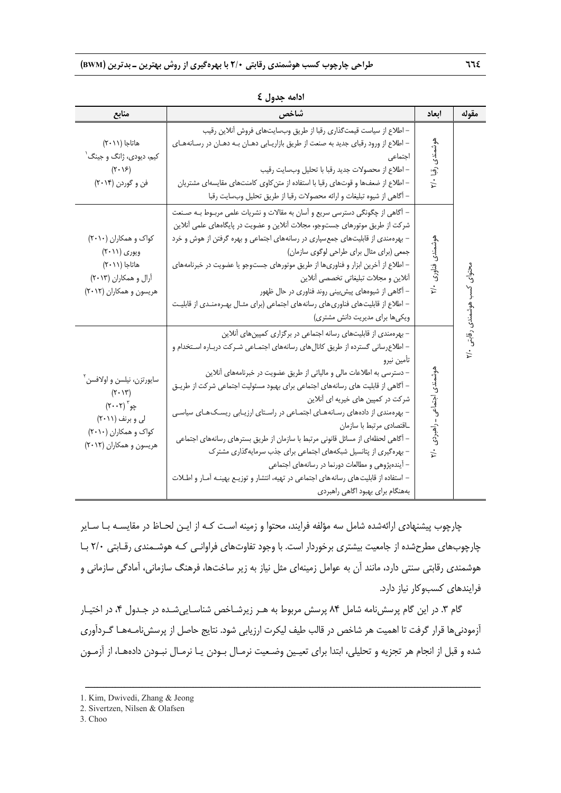| منابع                                                                                                                                                                 | شاخص                                                                                                                                                                                                                                                                                                                                                                                                                                                                                                                                                                                                                                                                                                                                                                                                                  | ابعاد                        | مقوله                         |
|-----------------------------------------------------------------------------------------------------------------------------------------------------------------------|-----------------------------------------------------------------------------------------------------------------------------------------------------------------------------------------------------------------------------------------------------------------------------------------------------------------------------------------------------------------------------------------------------------------------------------------------------------------------------------------------------------------------------------------------------------------------------------------------------------------------------------------------------------------------------------------------------------------------------------------------------------------------------------------------------------------------|------------------------------|-------------------------------|
| هاتاجا (٢٠١١)<br>کیم، دیودی، ژانگ و جینگ'<br>$(\mathbf{Y} \cdot \mathbf{Y})$<br>فن و گوردن (۲۰۱۴)                                                                     | – اطلاع از سیاست قیمتگذاری رقبا از طریق وبسایتهای فروش آنلاین رقیب<br>– اطلاع از ورود رقبای جدید به صنعت از طریق بازاریـابی دهـان بـه دهـان در رسـانههـای<br>اجتماعى<br>– اطلاع از محصولات جديد رقبا با تحليل وبسايت رقيب<br>– اطلاع از ضعفها و قوتهای رقبا با استفاده از متن کاوی کامنتهای مقایسهای مشتریان<br>– أكاهي از شيوه تبليغات و ارائه محصولات رقبا از طريق تحليل وبسايت رقبا                                                                                                                                                                                                                                                                                                                                                                                                                                | هوشمندى<br>رقبا ۲/۰          |                               |
| کواک و همکاران (۲۰۱۰)<br>ویوری (۲۰۱۱)<br>هاتاجا (۲۰۱۱)<br>آرال و همکاران (۲۰۱۳)<br>هریسون و همکاران (۲۰۱۲)                                                            | – آگاهی از چگونگی دسترسی سریع و آسان به مقالات و نشریات علمی مربـوط بـه صـنعت<br>شرکت از طریق موتورهای جستوجو، مجلات آنلاین و عضویت در پایگاههای علمی آنلاین<br>– بهرهمندی از قابلیتهای جمعسپاری در رسانههای اجتماعی و بهره گرفتن از هوش و خرد<br>جمعی (برای مثال برای طراحی لوگوی سازمان)<br>– اطلاع از آخرین ابزار و فناوریها از طریق موتورهای جستوجو یا عضویت در خبرنامههای<br>أنلاين و مجلات تبليغاتي تخصصي أنلاين<br>– آگاهی از شیوههای پیشبینی روند فناوری در حال ظهور<br>– اطلاع از قابلیتهای فناوریهای رسانههای اجتماعی (برای مثـال بهـرهمنـدی از قابلیـت<br>ویکیها برای مدیریت دانش مشتری)                                                                                                                                                                                                                   | هوشمندى فناورى<br>۲/۰        | محتوای کسب هوشمندی رقابتی ۲/۰ |
| سايورتزن، نيلسن و اولافسن آ<br>$(Y \cdot Y)$<br>$(\mathbf{Y}\cdot\mathbf{Y})^{\mathsf{T}}$ چو<br>لی و برنف (۲۰۱۱)<br>کواک و همکاران (۲۰۱۰)<br>هریسون و همکاران (۲۰۱۲) | - بهرهمندی از قابلیتهای رسانه اجتماعی در برگزاری کمپینهای آنلاین<br>– اطلاع رسانی گسترده از طریق کانالهای رسانههای اجتمـاعی شـرکت دربـاره اسـتخدام و<br>تأمين نيرو<br>– دسترسی به اطلاعات مالی و مالیاتی از طریق عضویت در خبرنامههای آنلاین<br>– آگاهی از قابلیت های رسانههای اجتماعی برای بهبود مسئولیت اجتماعی شرکت از طریـق<br>شرکت در کمپین های خیریه ای آنلاین<br>- بهرهمندی از دادههای رسانههای اجتماعی در راستای ارزیابی ریسکهای سیاسی<br>ـاقتصادى مرتبط با سازمان<br>– آگاهی لحظهای از مسائل قانونی مرتبط با سازمان از طریق بسترهای رسانههای اجتماعی<br>- بهرهگیری از پتانسیل شبکههای اجتماعی برای جذب سرمایهگذاری مشترک<br>– آیندهپژوهی و مطالعات دورنما در رسانههای اجتماعی<br>– استفاده از قابلیت های رسانه های اجتماعی در تهیه، انتشار و توزیـع بهینـه آمـار و اطـلات<br>بههنگام برای بهبود اگاهی راهبردی | هوشمندى اجتماعى<br>. راهبردی |                               |

**ادامه جدول 4** 

چارچوب پيشنهادي ارائهشده شامل سه مؤلفه فرايند، محتوا و زمينه اسـت كـه از ايـن لحـاظ در مقايسـه بـا سـاير چارچوبهاي مطرحشده از جامعيت بيشتري برخوردار است. با وجود تفاوتهاي فراوانـي كـه هوشـمندي رقـابتي 2/0 بـا هوشمندي رقابتي سنتي دارد، مانند آن به عوامل زمينهاي مثل نياز به زير ساختها، فرهنگ سازماني، آمادگي سازماني و فرايندهاي كسبوكار نياز دارد.

گام ٣. در اين گام پرسش نامه شامل ٨۴ پرسش مربوط به هـر زيرشـاخص شناسـاييشـده در جـدول ۴، در اختيـار آزمودنيها قرار گرفت تا اهميت هر شاخص در قالب طيف ليكرت ارزيابي شود. نتايج حاصل از پرسشنامـههـا گـردآوري شده و قبل از انجام هر تجزيه و تحليلي، ابتدا براي تعيـين وضـعيت نرمـال بـودن يـا نرمـال نبـودن دادههـا، از آزمـون

<sup>1.</sup> Kim, Dwivedi, Zhang & Jeong

<sup>2.</sup> Sivertzen, Nilsen & Olafsen

<sup>3.</sup> Choo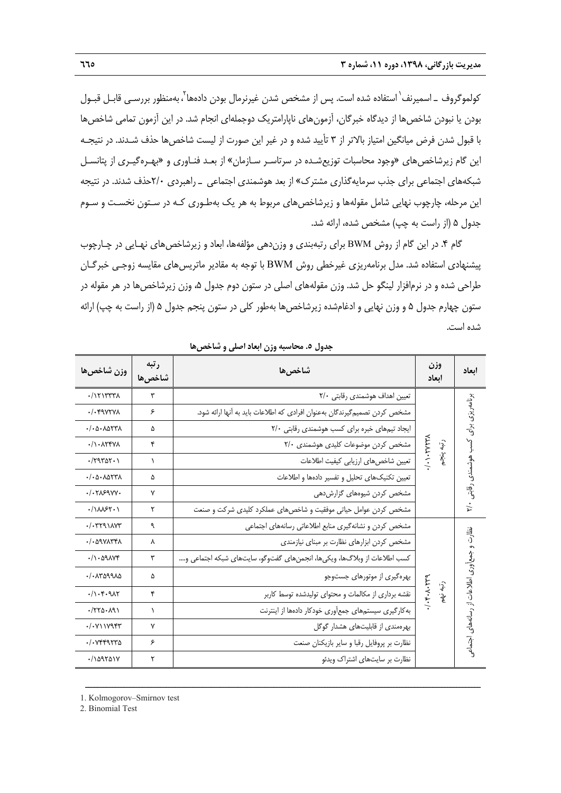كولموگروف ــ اسميرنف` استفاده شده است. پس از مشخص شدن غيرنرمال بودن دادهها <sup>۲</sup>، بهمنظور بررسـي قابـل قبـول بودن يا نبودن شاخصها از ديدگاه خبرگان، آزمونهاي ناپارامتريك دوجملهاي انجام شد. در اين آزمون تمامي شاخصها با قبول شدن فرض ميانگين امتياز بالاتر از 3 تأييد شده و در غير اين صورت از ليست شاخصها حذف شـدند. در نتيجـه اين گام زيرشاخصهاي «وجود محاسبات توزيعشـده در سرتاسـر سـازمان» از بعـد فنـاوري و «بهـرهگيـري از پتانسـل شبكههاي اجتماعي براي جذب سرمايهگذاري مشترك» از بعد هوشمندي اجتماعي ـ راهبردي 2/0حذف شدند. در نتيجه اين مرحله، چارچوب نهايي شامل مقولهها و زيرشاخصهاي مربوط به هر يك بهطـوري كـه در سـتون نخسـت و سـوم جدول 5 (از راست به چپ) مشخص شده، ارائه شد.

گام ۴. در اين گام از روش BWM براي رتبهبندي و وزندهي مؤلفهها، ابعاد و زيرشاخص هاي نهـايي در چـارچوب پيشنهادي استفاده شد. مدل برنامهريزي غيرخطي روش BWM با توجه به مقادير ماتريسهاي مقايسه زوجـي خبرگـان طراحي شده و در نرمافزار لينگو حل شد. وزن مقولههاي اصلي در ستون دوم جدول ،5 وزن زيرشاخصها در هر مقوله در ستون چهارم جدول 5 و وزن نهايي و ادغامشده زيرشاخصها بهطور كلي در ستون پنجم جدول 5 (از راست به چپ) ارائه شده است.

| وزن شاخصها                                                                                                                                                                                                                                                                                                                                                                                                                                                                                                                                                              | رتبه<br>شاخصها | شاخصها                                                                    | وزن<br>اىعاد                           | ابعاد                                        |
|-------------------------------------------------------------------------------------------------------------------------------------------------------------------------------------------------------------------------------------------------------------------------------------------------------------------------------------------------------------------------------------------------------------------------------------------------------------------------------------------------------------------------------------------------------------------------|----------------|---------------------------------------------------------------------------|----------------------------------------|----------------------------------------------|
| $\cdot$ / $\Upsilon\Upsilon\Upsilon\Upsilon\Upsilon$                                                                                                                                                                                                                                                                                                                                                                                                                                                                                                                    | ٣              | تعیین اهداف هوشمندی رقابتی ۲/۰                                            |                                        |                                              |
| $.$ / $.$ $4$ $4$ $4$ $4$ $4$                                                                                                                                                                                                                                                                                                                                                                                                                                                                                                                                           | ۶              | مشخص کردن تصمیمگیرندگان بهعنوان افرادی که اطلاعات باید به آنها ارائه شود. |                                        |                                              |
| $-1.0 - \lambda 077\lambda$                                                                                                                                                                                                                                                                                                                                                                                                                                                                                                                                             | ۵              | ایجاد تیمهای خبره برای کسب هوشمندی رقابتی ٢/٠                             |                                        |                                              |
| $\cdot/\right. \cdot \right. \cdot \cdot \cdot \cdot \cdot \cdot \cdot$                                                                                                                                                                                                                                                                                                                                                                                                                                                                                                 | ۴              | مشخص کردن موضوعات کلیدی هوشمندی ٢/٠                                       | $/ \cdot \cdot \cdot$<br>$\widehat{J}$ |                                              |
| $\cdot$ /٢٩٣۵٢ $\cdot$ )                                                                                                                                                                                                                                                                                                                                                                                                                                                                                                                                                | ١              | تعيين شاخصهاى ارزيابي كيفيت اطلاعات                                       | $\overline{\mathcal{E}}$               |                                              |
| $-1.0 - \lambda 077\lambda$                                                                                                                                                                                                                                                                                                                                                                                                                                                                                                                                             | ۵              | تعيين تكنيك هاى تحليل وتفسير دادهها واطلاعات                              |                                        |                                              |
| .1.7159VV.                                                                                                                                                                                                                                                                                                                                                                                                                                                                                                                                                              | ۷              | مشخص کردن شیوههای گزارشدهی                                                |                                        | برنامه ریزی برای کسب هوشمندی رقابتی ۲/۰      |
| $\cdot / \Lambda \Lambda$ ۶۲۰۱                                                                                                                                                                                                                                                                                                                                                                                                                                                                                                                                          | ٢              | مشخص کردن عوامل حیاتی موفقیت و شاخصهای عملکرد کلیدی شرکت و صنعت           |                                        |                                              |
| . / . 7791AVT                                                                                                                                                                                                                                                                                                                                                                                                                                                                                                                                                           | ٩              | مشخص كردن و نشانه گیری منابع اطلاعاتی رسانههای اجتماعی                    |                                        |                                              |
| $. / . \Delta$ 91154                                                                                                                                                                                                                                                                                                                                                                                                                                                                                                                                                    | ٨              | مشخص كردن ابزارهاى نظارت بر مبناى نيازمندى                                |                                        |                                              |
| $\cdot/\right. \cdot \left. \right. \left. \right. \left. \right. \left. \left. \right. \left. \right. \left. \left. \right. \left. \right. \left. \left. \right. \right. \left. \left. \right. \left. \right. \left. \right. \left. \right. \left. \left. \right. \right. \left. \left. \right. \right. \left. \left. \right. \right. \left. \left. \right. \right. \left. \left. \right. \right. \left. \left. \right. \right. \left. \left. \right. \right. \left. \left. \right. \right. \left. \left. \right. \right. \left. \left. \right. \right. \left. \left.$ | ٣              | كسب اطلاعات از وبلاگها، ويكيها، انجمنهاي گفتوگو، سايتهاي شبكه اجتماعي و…. |                                        |                                              |
| $. / .$ $\Lambda$ $\Lambda$ $\Lambda$ $\Lambda$                                                                                                                                                                                                                                                                                                                                                                                                                                                                                                                         | ۵              | بهرهگیری از موتورهای جستوجو                                               |                                        | نظارت و جمع آوری اطلاعات از رسانههای اجتماعی |
| $. / \backslash . \uparrow . \eta \wedge \uparrow$                                                                                                                                                                                                                                                                                                                                                                                                                                                                                                                      | ۴              | نقشه برداری از مکالمات و محتوای تولیدشده توسط کاربر                       | $4.44 - 7.4$<br>رتبه نهم               |                                              |
| 7770.191                                                                                                                                                                                                                                                                                                                                                                                                                                                                                                                                                                | ١              | به کارگیری سیستمهای جمعآوری خودکار دادهها از اینترنت                      |                                        |                                              |
| . / . V11995                                                                                                                                                                                                                                                                                                                                                                                                                                                                                                                                                            | ٧              | بهرهمندی از قابلیتهای هشدار گوگل                                          |                                        |                                              |
| . / . VFF9570                                                                                                                                                                                                                                                                                                                                                                                                                                                                                                                                                           | ۶              | نظارت بر پروفایل رقبا و سایر بازیکنان صنعت                                |                                        |                                              |
| $. / \lambda$ 9501Y                                                                                                                                                                                                                                                                                                                                                                                                                                                                                                                                                     | ٢              | نظارت بر سایتهای اشتراک ویدئو                                             |                                        |                                              |

ــــــــــــــــــــــــــــــــــــــــــــــــــــــــــــــــــــــــــــــــــــــــــــــــــــــــــــــــــــــــــــــــــــ

**جدول .5 محاسبه وزن ابعاد اصلي و شاخصها** 

1. Kolmogorov–Smirnov test

2. Binomial Test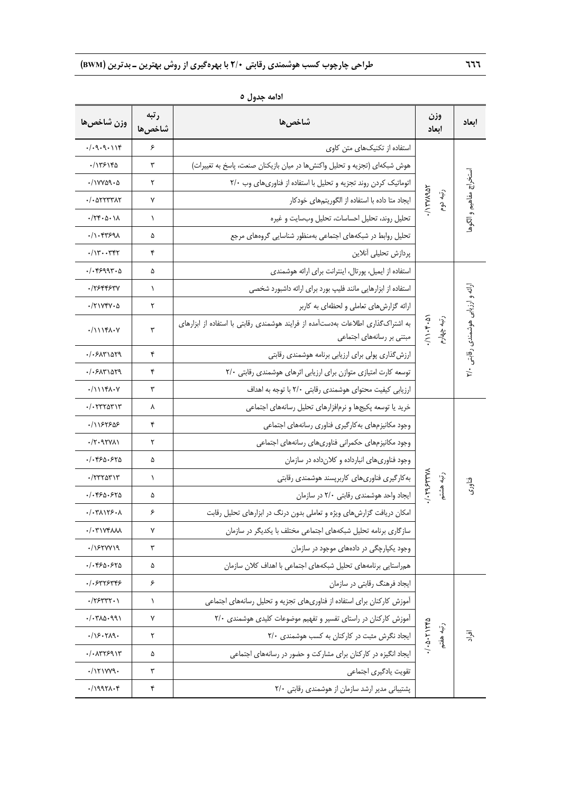| وزن شاخصها                                                | رتبه<br>شاخصها | شاخصها                                                                                                        | وزن<br>أبعاد                   | إبعاد                              |
|-----------------------------------------------------------|----------------|---------------------------------------------------------------------------------------------------------------|--------------------------------|------------------------------------|
| .7.9.9.114                                                | ۶              | استفاده از تکنیکهای متن کاوی                                                                                  |                                |                                    |
| ۱۱۳۶۱۴۵                                                   | ٣              | هوش شبکهای (تجزیه و تحلیل واکنشها در میان بازیکنان صنعت، پاسخ به تغییرات)                                     |                                |                                    |
| ./ I VYA9 . A                                             | ٢              | اتوماتیک کردن روند تجزیه و تحلیل با استفاده از فناوریهای وب ٢/٠                                               |                                | ستخراج مفاهيم و الگوها             |
| $. / .$ $\Delta$ YYYYAY                                   | ٧              | ایجاد متا داده با استفاده از الگوریتمهای خودکار                                                               | $/$ $\frac{1}{2}$<br>ر تبه دوم |                                    |
| $\cdot$ /٢۴ $\cdot$ ۵ $\cdot$ ۱۸                          | 1              | تحلیل روند، تحلیل احساسات، تحلیل وبسایت و غیره                                                                |                                |                                    |
| ۰/۱۰۴۳۶۹۸                                                 | ۵              | تحلیل روابط در شبکههای اجتماعی بهمنظور شناسایی گروههای مرجع                                                   |                                |                                    |
| $\cdot/\gamma$ ۳۰۰۳۴۲                                     | ۴              | پردازش تحلیلی آنلاین                                                                                          |                                |                                    |
| ۰/۰۴۶۹۹۳۰۵                                                | ۵              | استفاده از ایمیل، پورتال، اینترانت برای ارائه هوشمندی                                                         |                                |                                    |
| ۰/۲۶۴۴۶۳۷                                                 | $\lambda$      | استفاده از ابزارهایی مانند فلیپ بورد برای ارائه داشبورد شخصی                                                  |                                |                                    |
| $\cdot$ /۲۱۷۴۷ $\cdot$ ۵                                  | ٢              | ارائه گزارشهای تعاملی و لحظهای به کاربر                                                                       |                                |                                    |
| $\cdot$ /11141.7                                          | ٣              | به اشتراکگذاری اطلاعات بهدستآمده از فرایند هوشمندی رقابتی با استفاده از ابزارهای<br>مبتنی بر رسانههای اجتماعی | (0.4.1)<br>رتبه چهارم          | ارائه و ارزیابی هوشمندی رقابتی ۲/۰ |
| . / . 5171079                                             | ۴              | ارزش گذاری پولی برای ارزیابی برنامه هوشمندی رقابتی                                                            |                                |                                    |
| ۰/۰۶۸۳۱۵۲۹                                                | ۴              | توسعه کارت امتیازی متوازن برای ارزیابی اثرهای هوشمندی رقابتی ٢/٠                                              |                                |                                    |
| $\cdot$ /11141.7                                          | ٣              | ارزیابی کیفیت محتوای هوشمندی رقابتی ۲/۰ با توجه به اهداف                                                      |                                |                                    |
| ۰/۰۲۳۲۵۳۱۳                                                | ٨              | خرید یا توسعه پکیجها و نرمافزارهای تحلیل رسانههای اجتماعی                                                     |                                |                                    |
| ۶/۱۱۶۲۶۵۶                                                 | ۴              | وجود مكانيزمهاى بهكاركيرى فناورى رسانههاى اجتماعى                                                             |                                |                                    |
| $\cdot$ /۲۰۹۲۷۸۱                                          | ٢              | وجود مكانيزمهاى حكمراني فناورىهاى رسانههاى اجتماعى                                                            |                                |                                    |
| ٠/٠۴۶۵٠۶۲۵                                                | ۵              | وجود فناوری های انبارداده و کلان داده در سازمان                                                               |                                |                                    |
| $\cdot$ /٢٣٢ $\circ$ ۳۱٣                                  | $\lambda$      | به کارگیری فناوریهای کاربرپسند هوشمندی رقابتی                                                                 |                                |                                    |
| ۰/۰۴۶۵۰۶۲۵                                                | ۵              | ایجاد واحد هوشمندی رقابتی ٢/٠ در سازمان                                                                       | 1.79544<br>رتبه هشتم           | فناورک                             |
| $. / . Y \Lambda$                                         | ۶              | امکان دریافت گزارشهای ویژه و تعاملی بدون درنگ در ابزارهای تحلیل رقابت                                         |                                |                                    |
| $\cdot/\cdot$ ۳۱۷۴۸۸۸                                     | ٧              | سازگاری برنامه تحلیل شبکههای اجتماعی مختلف با یکدیگر در سازمان                                                |                                |                                    |
| $. / \sqrt{550019}$                                       | ٣              | وجود یکپارچگی در دادههای موجود در سازمان                                                                      |                                |                                    |
| ۰/۰۴۶۵۰۶۲۵                                                | ۵              | همراستایی برنامههای تحلیل شبکههای اجتماعی با اهداف کلان سازمان                                                |                                |                                    |
| $. / . 5$ ry $5$ ry $5$                                   | ۶              | ایجاد فرهنگ رقابتی در سازمان                                                                                  |                                |                                    |
| .755777.1                                                 | ١              | آموزش کارکنان برای استفاده از فناوریهای تجزیه و تحلیل رسانههای اجتماعی                                        |                                |                                    |
| .7.710.991                                                | ٧              | آموزش کارکنان در راستای تفسیر و تفهیم موضوعات کلیدی هوشمندی ۲/۰                                               |                                |                                    |
| .75.719.                                                  | ٢              | ایجاد نگرش مثبت در کارکنان به کسب هوشمندی ٢/٠                                                                 | $-.111740$<br>رتبه هفتم        | آقام                               |
| $. / .$ $\Lambda$ $\Upsilon$ $\Upsilon$ $\sim$ $\Upsilon$ | ۵              | ایجاد انگیزه در کارکنان برای مشارکت و حضور در رسانههای اجتماعی                                                |                                |                                    |
| $\cdot$ /1۲۱۷۷۹.                                          | ٣              | تقويت يادگيرى اجتماعى                                                                                         |                                |                                    |
| .7997                                                     | ۴              | پشتیبانی مدیر ارشد سازمان از هوشمندی رقابتی ٢/٠                                                               |                                |                                    |

**ادامه جدول 5**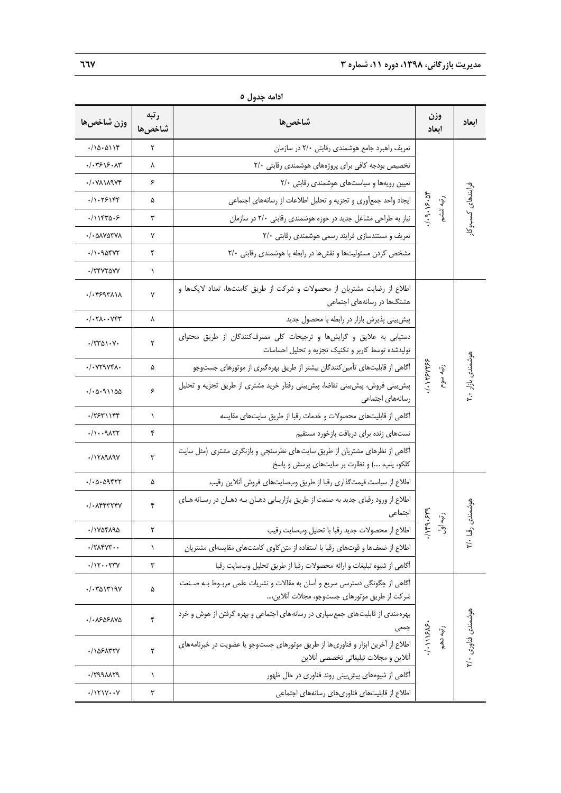| وزن شاخصها                                                      | رتبه<br>شاخصها | شاخصها                                                                                                                     | وزن<br>ابعاد                   | ابعاد              |
|-----------------------------------------------------------------|----------------|----------------------------------------------------------------------------------------------------------------------------|--------------------------------|--------------------|
| .7000118                                                        | ٢              | تعریف راهبرد جامع هوشمندی رقابتی ٢/٠ در سازمان                                                                             |                                |                    |
| ۰/۰۳۶۱۶۰۸۳                                                      | ٨              | تخصیص بودجه کافی برای پروژههای هوشمندی رقابتی ٢/٠                                                                          |                                |                    |
| ۰/۰۷۸۱۸۹۷۴                                                      | ۶              | تعیین رویهها و سیاستهای هوشمندی رقابتی ٢/٠                                                                                 |                                |                    |
| ۰/۱۰۲۶۱۴۴                                                       | ۵              | ایجاد واحد جمعآوری و تجزیه و تحلیل اطلاعات از رسانههای اجتماعی                                                             | 1.9.19.2<br>$\widehat{P}$      | فرايندهاى كسبوكار  |
| ۰/۱۱۴۳۵۰۶                                                       | ٣              | نیاز به طراحی مشاغل جدید در حوزه هوشمندی رقابتی ٢/٠ در سازمان                                                              | ؚ<br>پیشه                      |                    |
| ۰/۰۵۸۷۵۳۷۸                                                      | Y              | تعریف و مستندسازی فرایند رسمی هوشمندی رقابتی ٢/٠                                                                           |                                |                    |
| ۰/۱۰۹۵۴۷۲                                                       | ۴              | مشخص کردن مسئولیتها و نقشها در رابطه با هوشمندی رقابتی ٢/٠                                                                 |                                |                    |
| ./۲۴۷۲۵۷۷                                                       | ١              |                                                                                                                            |                                |                    |
| ۰/۰۴۶۹۳۸۱۸                                                      | ٧              | اطلاع از رضایت مشتریان از محصولات و شرکت از طریق کامنتها، تعداد لایکها و<br>هشتگها در رسانههای اجتماعی                     |                                |                    |
| $\cdot/\cdot$ $\mathsf{Y}\Lambda\cdot\cdot\mathsf{Y}\mathsf{Y}$ | ٨              | پیش بینی پذیرش بازار در رابطه با محصول جدید                                                                                |                                |                    |
| $\cdot$ /٢٣٥١٠٧٠                                                | ٢              | دستیابی به علایق و گرایشها و ترجیحات کلی مصرفکنندگان از طریق محتوای<br>تولیدشده توسط کاربر و تکنیک تجزیه و تحلیل احساسات   |                                |                    |
| ./•729741 <b>.</b>                                              | ۵              | آگاهی از قابلیتهای تأمین کنندگان بیشتر از طریق بهرهگیری از موتورهای جستوجو                                                 |                                |                    |
| ۱۵۵٬۹۱۱۵۵                                                       | ۶              | پیش بینی فروش، پیش بینی تقاضا، پیش بینی رفتار خرید مشتری از طریق تجزیه و تحلیل<br>رسانههای اجتماعی                         | $/ \cdot$ ) $Y5V5$<br>رتبه سوم | هوشمندی بازار ۲.۰  |
| ۰/۲۶۳۱۱۴۴                                                       | ١              | أكاهي از قابليتهاى محصولات و خدمات رقبا از طريق سايتهاى مقايسه                                                             |                                |                    |
| $. / \cdot . 9$                                                 | ۴              | تستهاى زنده براى دريافت بازخورد مستقيم                                                                                     |                                |                    |
| ·/ <i>\ ۲</i> ۸۹۸۹۷                                             | ٣              | آگاهی از نظرهای مشتریان از طریق سایت های نظرسنجی و بازنگری مشتری (مثل سایت<br>كلكو، يلپ، ) و نظارت بر سايتهاى پرسش و پاسخ  |                                |                    |
| ۰/۰۵۰۵۹۴۲۲                                                      | ۵              | اطلاع از سياست قيمت\$ذاري رقبا از طريق وبسايتهاي فروش أنلاين رقيب                                                          |                                |                    |
| ./• 1444744                                                     | ۴              | اطلاع از ورود رقبای جدید به صنعت از طریق بازاریـابی دهـان بـه دهـان در رسـانه هـای<br>اجتماعى                              | <b>bhs</b><br>ुं               | بوشمندع            |
| ./ ١٧٥۴٨٩٥                                                      | ٢              | اطلاع از محصولات جديد رقبا با تحليل وبسايت رقيب                                                                            | $\wedge$ ۴۹<br>う               |                    |
| $\cdot$ /٢٨۴٧٣                                                  | V              | اطلاع از ضعفها و قوتهای رقبا با استفاده از متن کاوی کامنتهای مقایسهای مشتریان                                              |                                | رقبا ۲/۰           |
| $./\gamma$ $\gamma\gamma\gamma$                                 | ٣              | أكاهي از شيوه تبليغات و ارائه محصولات رقبا از طريق تحليل وبسايت رقبا                                                       |                                |                    |
| ۰/۰۳۵۱۳۱۹۷                                                      | ۵              | آگاهی از چگونگی دسترسی سریع و آسان به مقالات و نشریات علمی مربـوط بـه صـنعت<br>شركت از طريق موتورهاي جستوجو، مجلات آنلاين، |                                |                    |
| ·/· 1505170                                                     | ۴              | بهره مندی از قابلیت های جمع سپاری در رسانه های اجتماعی و بهره گرفتن از هوش و خرد<br>جمعی                                   | $\cdot \widehat{\cdot}$        |                    |
| ۰/۱۵۶۸۳۲۷                                                       | ٢              | اطلاع از آخرین ابزار و فناوری ها از طریق موتورهای جستوجو یا عضویت در خبرنامههای<br>أنلاين و مجلات تبليغاتي تخصصي أنلاين    | 1.11905<br>$\frac{1}{2}$       | موشمندی فناوری ۲/۰ |
| ·/MARANTA                                                       | $\lambda$      | آگاهی از شیوههای پیشبینی روند فناوری در حال ظهور                                                                           |                                |                    |
| $\cdot$ /171 $V\cdot V$                                         | ٣              | اطلاع از قابلیتهای فناوریهای رسانههای اجتماعی                                                                              |                                |                    |

**ادامه جدول 5**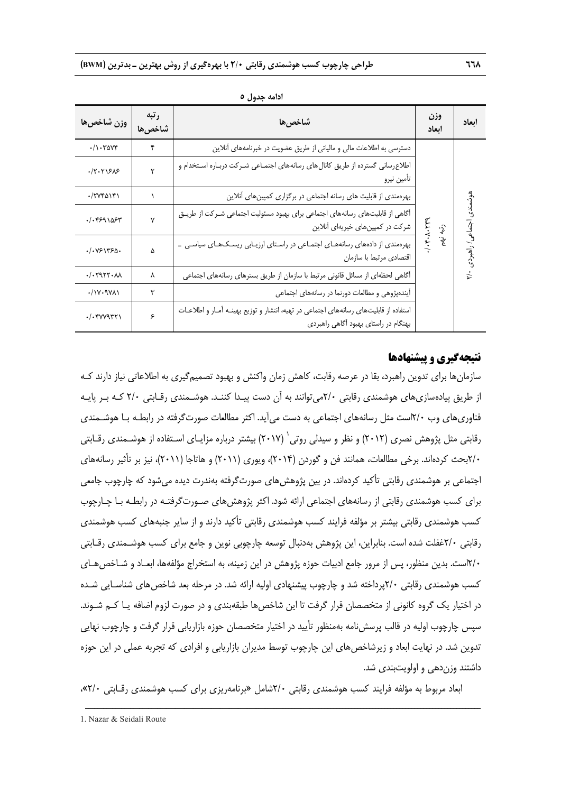| وزن شاخصها                                                                | رتبه<br>شاخصها | شاخصها                                                                                                                        | وزن<br>ابعاد        | ابعاد     |  |
|---------------------------------------------------------------------------|----------------|-------------------------------------------------------------------------------------------------------------------------------|---------------------|-----------|--|
| $\cdot/\right. \cdot \right. \cdot \right)$                               | ۴              | دسترسی به اطلاعات مالی و مالیاتی از طریق عضویت در خبرنامههای آنلاین                                                           |                     |           |  |
| 77.51505                                                                  | ۲              | اطلاع رسانی گسترده از طریق کانال های رسانههای اجتمـاعی شـرکت دربـاره اسـتخدام و<br>تأمين نيرو                                 |                     |           |  |
| $\cdot$ /۲۷۴۵۱۴۱                                                          |                | بهرهمندی از قابلیت های رسانه اجتماعی در برگزاری کمپینهای آنلاین                                                               |                     | هوشمندى   |  |
| 11.4591054                                                                | ٧              | آگاهی از قابلیتهای رسانههای اجتماعی برای بهبود مسئولیت اجتماعی شـرکت از طریـق<br>شرکت در کمپینهای خیریهای آنلاین              | 1.4.1.1<br>رتبه نهم |           |  |
| ٠/٠٧۶١٣۶٥٠                                                                | ۵              | بهرهمندی از دادههای رسانههـای اجتمـاعی در راسـتای ارزیـابی ریسـکهـای سیاسـی _<br>اقتصادي مرتبط با سازمان                      |                     | / راهبردی |  |
| .7.7977.4                                                                 | ٨              | أگاهی لحظهای از مسائل قانونی مرتبط با سازمان از طریق بسترهای رسانههای اجتماعی                                                 |                     |           |  |
| $\cdot / \vee \cdot \vee \vee \wedge$                                     | ٣              | آیندهپژوهی و مطالعات دورنما در رسانههای اجتماعی                                                                               |                     |           |  |
| $\cdot/\cdot$ $\forall$ $\forall$ $\forall$ $\forall$ $\forall$ $\forall$ | ۶              | استفاده از قابلیتهای رسانههای اجتماعی در تهیه، انتشار و توزیع بهینـه آمـار و اطلاعـات<br>بهنگام در راستای بهبود آگاهی راهبردی |                     |           |  |

**ادامه جدول 5** 

#### **نتيجهگيري و پيشنهادها**

سازمانها براي تدوين راهبرد، بقا در عرصه رقابت، كاهش زمان واكنش و بهبود تصميمگيري به اطلاعاتي نياز دارند كـه از طريق پيادهسازيهاي هوشمندي رقابتي 2/0ميتوانند به آن دست پيـدا كننـد. هوشـمندي رقـابتي 2/0 كـه بـر پايـه فناوريهاي وب 2/0است مثل رسانههاي اجتماعي به دست ميآيد. اكثر مطالعات صورتگرفته در رابطـه بـا هوشـمندي رقابتي مثل پژوهش نصري (٢٠١٢) و نظر و سيدلي روتي` (٢٠١٧) بيشتر درباره مزايـاي اسـتفاده از هوشـمندي رقـابتي 2/0بحث كردهاند. برخي مطالعات، همانند فن و گوردن (2014)، ويوري (2011) و هاتاجا (2011)، نيز بر تأثير رسانههاي اجتماعي بر هوشمندي رقابتي تأكيد كردهاند. در بين پژوهشهاي صورتگرفته بهندرت ديده ميشود كه چارچوب جامعي براي كسب هوشمندي رقابتي از رسانههاي اجتماعي ارائه شود. اكثر پژوهشهاي صـورتگرفتـه در رابطـه بـا چـارچوب كسب هوشمندي رقابتي بيشتر بر مؤلفه فرايند كسب هوشمندي رقابتي تأكيد دارند و از ساير جنبههاي كسب هوشمندي رقابتي 2/0غفلت شده است. بنابراين، اين پژوهش بهدنبال توسعه چارچوبي نوين و جامع براي كسب هوشـمندي رقـابتي 2/0است. بدين منظور، پس از مرور جامع ادبيات حوزه پژوهش در اين زمينه، به استخراج مؤلفهها، ابعـاد و شـاخصهـاي كسب هوشمندي رقابتي 2/0پرداخته شد و چارچوب پيشنهادي اوليه ارائه شد. در مرحله بعد شاخصهاي شناسـايي شـده در اختيار يک گروه کانوني از متخصصان قرار گرفت تا اين شاخص ها طبقهبندي و در صورت لزوم اضافه يـا کــم شـوند. سپس چارچوب اوليه در قالب پرسشنامه بهمنظور تأييد در اختيار متخصصان حوزه بازاريابي قرار گرفت و چارچوب نهايي تدوين شد. در نهايت ابعاد و زيرشاخصهاي اين چارچوب توسط مديران بازاريابي و افرادي كه تجربه عملي در اين حوزه داشتند وزندهي و اولويتبندي شد.

ابعاد مربوط به مؤلفه فرايند كسب هوشمندي رقابتي 2/0شامل «برنامهريزي براي كسب هوشمندي رقـابتي 2/0»،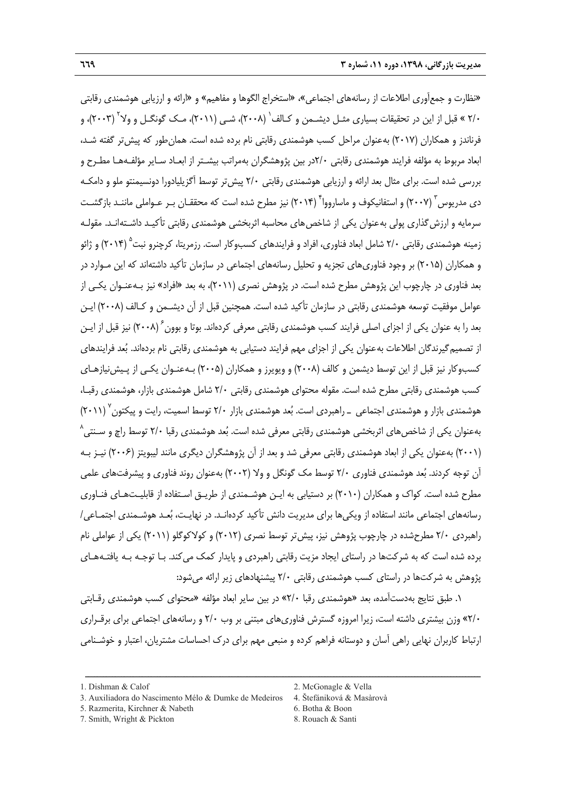«نظارت و جمعآوري اطلاعات از رسانههاي اجتماعي»، «استخراج الگوها و مفاهيم» و «ارائه و ارزيابي هوشمندي رقابتي ۲/۰ » قبل از این در تحقیقات بسیاری مثـل دیشــمن و کـالف<sup>٬</sup> (۲۰۰۸)، شــی (۲۰۱۱)، مـک گونگــل و ولا<sup>۲</sup> (۲۰۰۳)، و فرناندز و همكاران (2017) بهعنوان مراحل كسب هوشمندي رقابتي نام برده شده است. همانطور كه پيشتر گفته شـد، ابعاد مربوط به مؤلفه فرايند هوشمندي رقابتي 2/0در بين پژوهشگران بهمراتب بيشـتر از ابعـاد سـاير مؤلفـههـا مطـرح و بررسي شده است. براي مثال بعد ارائه و ارزيابي هوشمندي رقابتي 2/0 پيشتر توسط آگزيليادورا دونسيمنتو ملو و دامكـه دی مدریوس <sup>۳</sup> (۲۰۰۷) و استفانیکوف و ماسارووا ٔ (۲۰۱۴) نیز مطرح شده است که محققـان بـر عـواملی ماننـد بازگشـت سرمايه و ارزش گذاري پولي بهعنوان يكي از شاخص هاي محاسبه اثربخشي هوشمندي رقابتي تأكيـد داشـتهانـد. مقولـه زمينه هوشمندي رقابتي 7/۰ شامل ابعاد فناوري، افراد و فرايندهاي كسبوكار است. رزمريتا، كرچنرو نبت<sup>۵</sup> (۲۰۱۴) و ژائو و همكاران (2015) بر وجود فناوريهاي تجزيه و تحليل رسانههاي اجتماعي در سازمان تأكيد داشتهاند كه اين مـوارد در بعد فناوري در چارچوب اين پژوهش مطرح شده است. در پژوهش نصري (2011)، به بعد «افراد» نيز بـهعنـوان يكـي از عوامل موفقيت توسعه هوشمندي رقابتي در سازمان تأكيد شده است. همچنين قبل از آن ديشـمن و كـالف (2008) ايـن بعد را به عنوان يكي از اجزاي اصلي فرايند كسب هوشمندي رقابتي معرفي كردهاند. بوتا و بوون ً (٢٠٠٨) نيز قبل از ايـن از تصميمگيرندگان اطلاعات بهعنوان يكي از اجزاي مهم فرايند دستيابي به هوشمندي رقابتي نام بردهاند. بعد فرايندهاي كسبوكار نيز قبل از اين توسط ديشمن و كالف (2008) و ويويرز و همكاران (2005) بـهعنـوان يكـي از پـيشنيازهـاي كسب هوشمندي رقابتي مطرح شده است. مقوله محتواي هوشمندي رقابتي 2/0 شامل هوشمندي بازار، هوشمندي رقبـا، هوشمندي بازار و هوشمندي اجتماعي \_ راهبردي است. بُعد هوشمندي بازار ۲/۰ توسط اسميت، رايت و پيكتون<sup>٬ (</sup> (۲۰۱۱) بهعنوان يكي از شاخصهاي اثربخشي هوشمندي رقابتي معرفي شده است. بعد هوشمندي رقبا 2/0 توسط راچ و سـنتي 8 (2001) بهعنوان يكي از ابعاد هوشمندي رقابتي معرفي شد و بعد از آن پژوهشگران ديگري مانند ليبويتز (2006) نيـز بـه آن توجه كردند. بعد هوشمندي فناوري 2/0 توسط مك گونگل و ولا (2002) بهعنوان روند فناوري و پيشرفتهاي علمي مطرح شده است. كواك و همكاران (2010) بر دستيابي به ايـن هوشـمندي از طريـق اسـتفاده از قابليـتهـاي فنـاوري رسانههاي اجتماعي مانند استفاده از ويكيها براي مديريت دانش تأكيد كردهانـد. در نهايـت، بعـد هوشـمندي اجتمـاعي/ راهبردي 2/0 مطرحشده در چارچوب پژوهش نيز، پيشتر توسط نصري (2012) و كولاكوگلو (2011) يكي از عواملي نام برده شده است كه به شركتها در راستاي ايجاد مزيت رقابتي راهبردي و پايدار كمك ميكند. بـا توجـه بـه يافتـههـاي پژوهش به شركتها در راستاي كسب هوشمندي رقابتي 2/0 پيشنهادهاي زير ارائه ميشود:

.1 طبق نتايج بهدستآمده، بعد «هوشمندي رقبا 2/0» در بين ساير ابعاد مؤلفه «محتواي كسب هوشمندي رقـابتي 2/0» وزن بيشتري داشته است، زيرا امروزه گسترش فناوريهاي مبتني بر وب 2/0 و رسانههاي اجتماعي براي برقـراري ارتباط كاربران نهايي راهي آسان و دوستانه فراهم كرده و منبعي مهم براي درك احساسات مشتريان، اعتبار و خوشـنامي

- 
- 

<sup>3.</sup> Auxiliadora do Nascimento Mélo & Dumke de Medeiros 4. Štefániková & Masàrovà

<sup>5.</sup> Razmerita, Kirchner & Nabeth 6. Botha & Boon

<sup>7.</sup> Smith, Wright & Pickton 8. Rouach & Santi

<sup>1.</sup> Dishman & Calof 2. McGonagle & Vella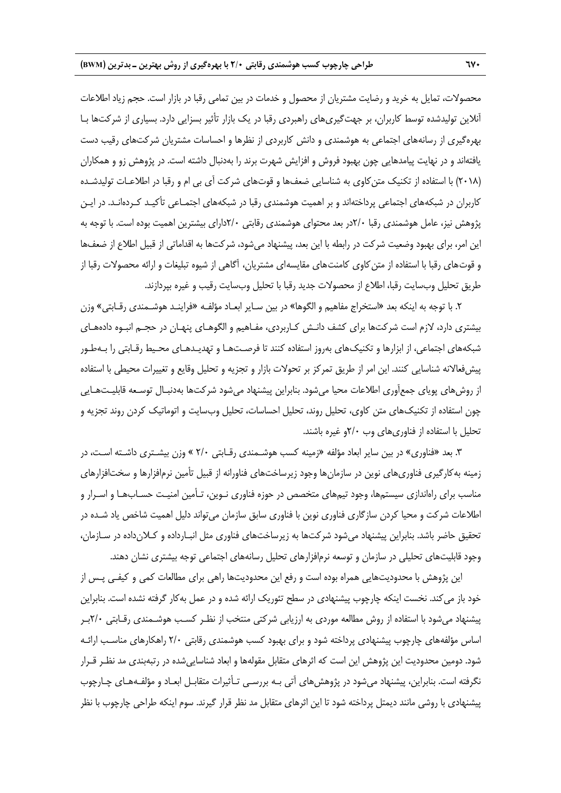محصولات، تمايل به خريد و رضايت مشتريان از محصول و خدمات در بين تمامي رقبا در بازار است. حجم زياد اطلاعات آنلاين توليدشده توسط كاربران، بر جهتگيريهاي راهبردي رقبا در يك بازار تأثير بسزايي دارد. بسياري از شركتها بـا بهرهگيري از رسانههاي اجتماعي به هوشمندي و دانش كاربردي از نظرها و احساسات مشتريان شركتهاي رقيب دست يافتهاند و در نهايت پيامدهايي چون بهبود فروش و افزايش شهرت برند را بهدنبال داشته است. در پژوهش زو و همكاران (٢٠١٨) با استفاده از تكنيك متن كاوي به شناسايي ضعفها و قوتهاي شركت آي بي ام و رقبا در اطلاعـات توليدشـده كاربران در شبكههاي اجتماعي پرداختهاند و بر اهميت هوشمندي رقبا در شبكههاي اجتمـاعي تأكيـد كـردهانـد. در ايـن پژوهش نيز، عامل هوشمندي رقبا 2/0در بعد محتواي هوشمندي رقابتي 2/0داراي بيشترين اهميت بوده است. با توجه به اين امر، براي بهبود وضعيت شركت در رابطه با اين بعد، پيشنهاد ميشود، شركتها به اقداماتي از قبيل اطلاع از ضعفها و قوتهاي رقبا با استفاده از متنكاوي كامنتهاي مقايسهاي مشتريان، آگاهي از شيوه تبليغات و ارائه محصولات رقبا از طريق تحليل وبسايت رقبا، اطلاع از محصولات جديد رقبا با تحليل وبسايت رقيب و غيره بپردازند.

.2 با توجه به اينكه بعد «استخراج مفاهيم و الگوها» در بين سـاير ابعـاد مؤلفـه «فراينـد هوشـمندي رقـابتي» وزن بيشتري دارد، لازم است شركتها براي كشف دانـش كـاربردي، مفـاهيم و الگوهـاي پنهـان در حجـم انبـوه دادههـاي شبكههاي اجتماعي، از ابزارها و تكنيكهاي بهروز استفاده كنند تا فرصـتهـا و تهديـدهـاي محـيط رقـابتي را بـهطـور پيشفعالانه شناسايي كنند. اين امر از طريق تمركز بر تحولات بازار و تجزيه و تحليل وقايع و تغييرات محيطي با استفاده از روشهاي پوياي جمعآوري اطلاعات محيا ميشود. بنابراين پيشنهاد ميشود شركتها بهدنبـال توسـعه قابليـتهـايي چون استفاده از تكنيكهاي متن كاوي، تحليل روند، تحليل احساسات، تحليل وبسايت و اتوماتيك كردن روند تجزيه و تحليل با استفاده از فناوريهاي وب 2/0و غيره باشند.

.3 بعد «فناوري» در بين ساير ابعاد مؤلفه «زمينه كسب هوشـمندي رقـابتي 2/0 » وزن بيشـتري داشـته اسـت، در زمينه بهكارگيري فناوريهاي نوين در سازمانها وجود زيرساختهاي فناورانه از قبيل تأمين نرمافزارها و سختافزارهاي مناسب براي راهاندازي سيستمها، وجود تيمهاي متخصص در حوزه فناوري نـوين، تـأمين امنيـت حسـابهـا و اسـرار و اطلاعات شركت و محيا كردن سازگاري فناوري نوين با فناوري سابق سازمان ميتواند دليل اهميت شاخص ياد شـده در تحقيق حاضر باشد. بنابراين پيشنهاد ميشود شركتها به زيرساختهاي فناوري مثل انبـارداده و كـلانداده در سـازمان، وجود قابليتهاي تحليلي در سازمان و توسعه نرمافزارهاي تحليل رسانههاي اجتماعي توجه بيشتري نشان دهند.

اين پژوهش با محدوديتهايي همراه بوده است و رفع اين محدوديتها راهي براي مطالعات كمي و كيفـي پـس از خود باز ميكند. نخست اينكه چارچوب پيشنهادي در سطح تئوريك ارائه شده و در عمل بهكار گرفته نشده است. بنابراين پيشنهاد ميشود با استفاده از روش مطالعه موردي به ارزيابي شركتي منتخب از نظـر كسـب هوشـمندي رقـابتي 2/0بـر اساس مؤلفههاي چارچوب پيشنهادي پرداخته شود و براي بهبود كسب هوشمندي رقابتي 2/0 راهكارهاي مناسـب ارائـه شود. دومين محدوديت اين پژوهش اين است كه اثرهاي متقابل مقولهها و ابعاد شناساييشده در رتبهبندي مد نظـر قـرار نگرفته است. بنابراين، پيشنهاد ميشود در پژوهشهاي آتي بـه بررسـي تـأثيرات متقابـل ابعـاد و مؤلفـههـاي چـارچوب پيشنهادي با روشي مانند ديمتل پرداخته شود تا اين اثرهاي متقابل مد نظر قرار گيرند. سوم اينكه طراحي چارچوب با نظر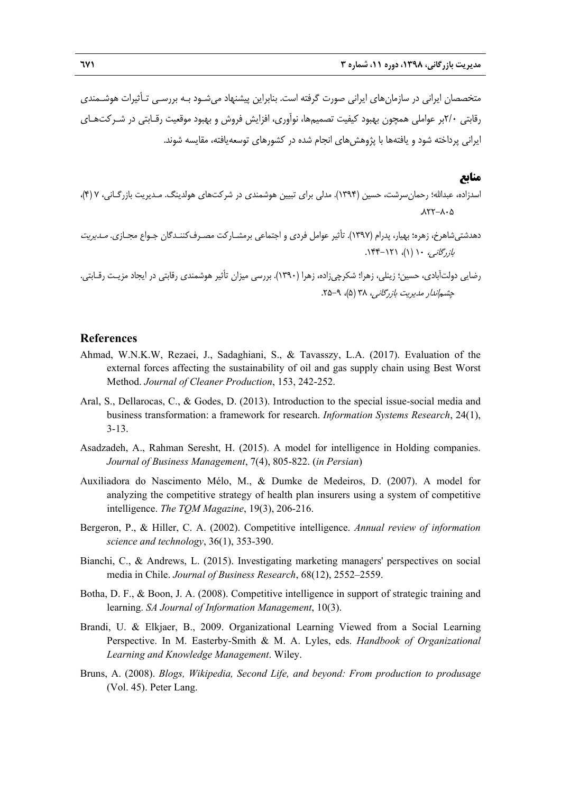متخصصان ايراني در سازمانهاي ايراني صورت گرفته است. بنابراين پيشنهاد ميشـود بـه بررسـي تـأثيرات هوشـمندي رقابتي 2/0بر عواملي همچون بهبود كيفيت تصميمها، نوآوري، افزايش فروش و بهبود موقعيت رقـابتي در شـركتهـاي ايراني پرداخته شود و يافتهها با پژوهش هاي انجام شده در كشورهاي توسعه يافته، مقايسه شوند.

#### **منابع**

- اسدزاده، عبداالله؛ رحمانسرشت، حسين (1394). مدلي براي تبيين هوشمندي در شركتهاي هولدينگ. مـديريت بازرگـاني، 7 (4)،  $AY - A \cdot \Delta$
- دهدشتيشاهرخ، زهره؛ بهيار، پدرام (1397). تأثير عوامل فردي و اجتماعي برمشـاركت مصـرفكننـدگان جـواع مجـازي. مـديريت بازرگاني، ۱۰ (۱)، ۱۳۱-۱۴۴.

رضايي دولتآبادي، حسين؛ زينلي، زهرا؛ شكرچيزاده، زهرا (1390). بررسي ميزان تأثير هوشمندي رقابتي در ايجاد مزيـت رقـابتي. چشم *اندار مديريت بازرگاني، ٣*٨ (۵)، ٩-٢۵.

#### **References**

- Ahmad, W.N.K.W, Rezaei, J., Sadaghiani, S., & Tavasszy, L.A. (2017). Evaluation of the external forces affecting the sustainability of oil and gas supply chain using Best Worst Method. *Journal of Cleaner Production*, 153, 242-252.
- Aral, S., Dellarocas, C., & Godes, D. (2013). Introduction to the special issue-social media and business transformation: a framework for research. *Information Systems Research*, 24(1), 3-13.
- Asadzadeh, A., Rahman Seresht, H. (2015). A model for intelligence in Holding companies. *Journal of Business Management*, 7(4), 805-822. (*in Persian*)
- Auxiliadora do Nascimento Mélo, M., & Dumke de Medeiros, D. (2007). A model for analyzing the competitive strategy of health plan insurers using a system of competitive intelligence. *The TQM Magazine*, 19(3), 206-216.
- Bergeron, P., & Hiller, C. A. (2002). Competitive intelligence. *Annual review of information science and technology*, 36(1), 353-390.
- Bianchi, C., & Andrews, L. (2015). Investigating marketing managers' perspectives on social media in Chile. *Journal of Business Research*, 68(12), 2552–2559.
- Botha, D. F., & Boon, J. A. (2008). Competitive intelligence in support of strategic training and learning. *SA Journal of Information Management*, 10(3).
- Brandi, U. & Elkjaer, B., 2009. Organizational Learning Viewed from a Social Learning Perspective. In M. Easterby-Smith & M. A. Lyles, eds. *Handbook of Organizational Learning and Knowledge Management*. Wiley.
- Bruns, A. (2008). *Blogs, Wikipedia, Second Life, and beyond: From production to produsage* (Vol. 45). Peter Lang.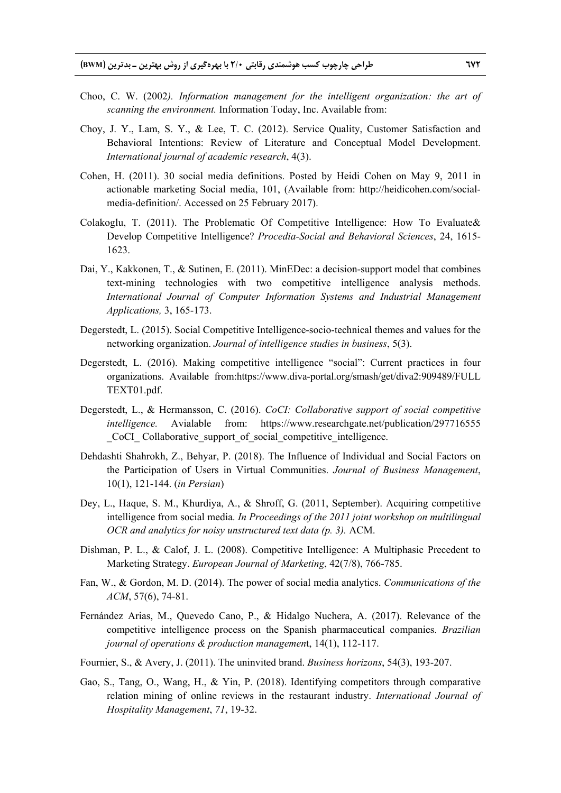- Choo, C. W. (2002*). Information management for the intelligent organization: the art of scanning the environment.* Information Today, Inc. Available from:
- Choy, J. Y., Lam, S. Y., & Lee, T. C. (2012). Service Quality, Customer Satisfaction and Behavioral Intentions: Review of Literature and Conceptual Model Development. *International journal of academic research*, 4(3).
- Cohen, H. (2011). 30 social media definitions. Posted by Heidi Cohen on May 9, 2011 in actionable marketing Social media, 101, (Available from: http://heidicohen.com/socialmedia-definition/. Accessed on 25 February 2017).
- Colakoglu, T. (2011). The Problematic Of Competitive Intelligence: How To Evaluate  $\&$ Develop Competitive Intelligence? *Procedia-Social and Behavioral Sciences*, 24, 1615- 1623.
- Dai, Y., Kakkonen, T., & Sutinen, E. (2011). MinEDec: a decision-support model that combines text-mining technologies with two competitive intelligence analysis methods. *International Journal of Computer Information Systems and Industrial Management Applications,* 3, 165-173.
- Degerstedt, L. (2015). Social Competitive Intelligence-socio-technical themes and values for the networking organization. *Journal of intelligence studies in business*, 5(3).
- Degerstedt, L. (2016). Making competitive intelligence "social": Current practices in four organizations. Available from:https://www.diva-portal.org/smash/get/diva2:909489/FULL TEXT01.pdf.
- Degerstedt, L., & Hermansson, C. (2016). *CoCI: Collaborative support of social competitive intelligence.* Avialable from: https://www.researchgate.net/publication/297716555 \_CoCI\_ Collaborative\_support\_of\_social\_competitive\_intelligence.
- Dehdashti Shahrokh, Z., Behyar, P. (2018). The Influence of Individual and Social Factors on the Participation of Users in Virtual Communities. *Journal of Business Management*, 10(1), 121-144. (*in Persian*)
- Dey, L., Haque, S. M., Khurdiya, A., & Shroff, G. (2011, September). Acquiring competitive intelligence from social media. *In Proceedings of the 2011 joint workshop on multilingual OCR and analytics for noisy unstructured text data (p. 3).* ACM.
- Dishman, P. L., & Calof, J. L. (2008). Competitive Intelligence: A Multiphasic Precedent to Marketing Strategy. *European Journal of Marketing*, 42(7/8), 766-785.
- Fan, W., & Gordon, M. D. (2014). The power of social media analytics. *Communications of the ACM*, 57(6), 74-81.
- Fernández Arias, M., Quevedo Cano, P., & Hidalgo Nuchera, A. (2017). Relevance of the competitive intelligence process on the Spanish pharmaceutical companies. *Brazilian journal of operations & production managemen*t, 14(1), 112-117.
- Fournier, S., & Avery, J. (2011). The uninvited brand. *Business horizons*, 54(3), 193-207.
- Gao, S., Tang, O., Wang, H., & Yin, P. (2018). Identifying competitors through comparative relation mining of online reviews in the restaurant industry. *International Journal of Hospitality Management*, *71*, 19-32.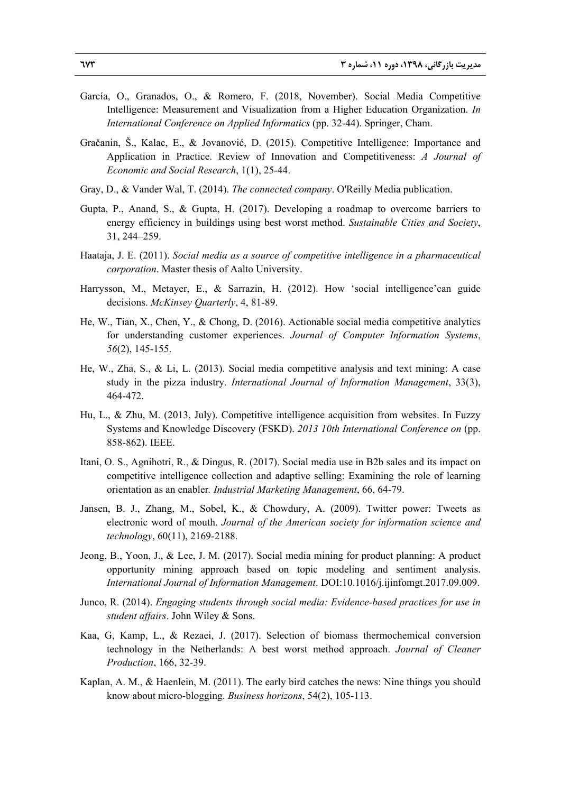- García, O., Granados, O., & Romero, F. (2018, November). Social Media Competitive Intelligence: Measurement and Visualization from a Higher Education Organization. *In International Conference on Applied Informatics* (pp. 32-44). Springer, Cham.
- Gračanin, Š., Kalac, E., & Jovanović, D. (2015). Competitive Intelligence: Importance and Application in Practice. Review of Innovation and Competitiveness: *A Journal of Economic and Social Research*, 1(1), 25-44.
- Gray, D., & Vander Wal, T. (2014). *The connected company*. O'Reilly Media publication.
- Gupta, P., Anand, S., & Gupta, H. (2017). Developing a roadmap to overcome barriers to energy efficiency in buildings using best worst method. *Sustainable Cities and Society*, 31, 244–259.
- Haataja, J. E. (2011). *Social media as a source of competitive intelligence in a pharmaceutical corporation*. Master thesis of Aalto University.
- Harrysson, M., Metayer, E., & Sarrazin, H. (2012). How 'social intelligence'can guide decisions. *McKinsey Quarterly*, 4, 81-89.
- He, W., Tian, X., Chen, Y., & Chong, D. (2016). Actionable social media competitive analytics for understanding customer experiences. *Journal of Computer Information Systems*, *56*(2), 145-155.
- He, W., Zha, S., & Li, L. (2013). Social media competitive analysis and text mining: A case study in the pizza industry. *International Journal of Information Management*, 33(3), 464-472.
- Hu, L., & Zhu, M. (2013, July). Competitive intelligence acquisition from websites. In Fuzzy Systems and Knowledge Discovery (FSKD). *2013 10th International Conference on* (pp. 858-862). IEEE.
- Itani, O. S., Agnihotri, R., & Dingus, R. (2017). Social media use in B2b sales and its impact on competitive intelligence collection and adaptive selling: Examining the role of learning orientation as an enabler*. Industrial Marketing Management*, 66, 64-79.
- Jansen, B. J., Zhang, M., Sobel, K., & Chowdury, A. (2009). Twitter power: Tweets as electronic word of mouth. *Journal of the American society for information science and technology*, 60(11), 2169-2188.
- Jeong, B., Yoon, J., & Lee, J. M. (2017). Social media mining for product planning: A product opportunity mining approach based on topic modeling and sentiment analysis. *International Journal of Information Management*. DOI:10.1016/j.ijinfomgt.2017.09.009.
- Junco, R. (2014). *Engaging students through social media: Evidence-based practices for use in student affairs*. John Wiley & Sons.
- Kaa, G, Kamp, L., & Rezaei, J. (2017). Selection of biomass thermochemical conversion technology in the Netherlands: A best worst method approach. *Journal of Cleaner Production*, 166, 32-39.
- Kaplan, A. M., & Haenlein, M. (2011). The early bird catches the news: Nine things you should know about micro-blogging. *Business horizons*, 54(2), 105-113.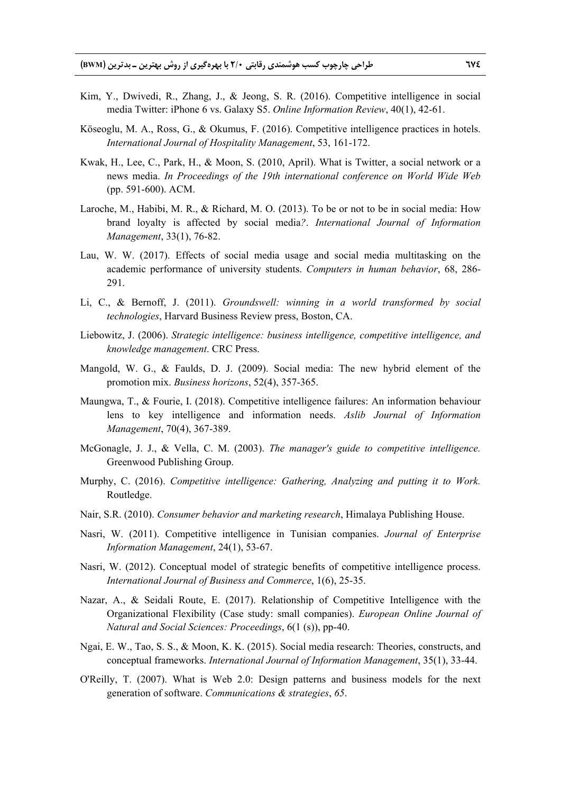- Kim, Y., Dwivedi, R., Zhang, J., & Jeong, S. R. (2016). Competitive intelligence in social media Twitter: iPhone 6 vs. Galaxy S5. *Online Information Review*, 40(1), 42-61.
- Köseoglu, M. A., Ross, G., & Okumus, F. (2016). Competitive intelligence practices in hotels. *International Journal of Hospitality Management*, 53, 161-172.
- Kwak, H., Lee, C., Park, H., & Moon, S. (2010, April). What is Twitter, a social network or a news media. *In Proceedings of the 19th international conference on World Wide Web* (pp. 591-600). ACM.
- Laroche, M., Habibi, M. R., & Richard, M. O. (2013). To be or not to be in social media: How brand loyalty is affected by social media*?*. *International Journal of Information Management*, 33(1), 76-82.
- Lau, W. W. (2017). Effects of social media usage and social media multitasking on the academic performance of university students. *Computers in human behavior*, 68, 286- 291.
- Li, C., & Bernoff, J. (2011). *Groundswell: winning in a world transformed by social technologies*, Harvard Business Review press, Boston, CA.
- Liebowitz, J. (2006). *Strategic intelligence: business intelligence, competitive intelligence, and knowledge management*. CRC Press.
- Mangold, W. G., & Faulds, D. J. (2009). Social media: The new hybrid element of the promotion mix. *Business horizons*, 52(4), 357-365.
- Maungwa, T., & Fourie, I. (2018). Competitive intelligence failures: An information behaviour lens to key intelligence and information needs. *Aslib Journal of Information Management*, 70(4), 367-389.
- McGonagle, J. J., & Vella, C. M. (2003). *The manager's guide to competitive intelligence.* Greenwood Publishing Group.
- Murphy, C. (2016). *Competitive intelligence: Gathering, Analyzing and putting it to Work.* Routledge.
- Nair, S.R. (2010). *Consumer behavior and marketing research*, Himalaya Publishing House.
- Nasri, W. (2011). Competitive intelligence in Tunisian companies. *Journal of Enterprise Information Management*, 24(1), 53-67.
- Nasri, W. (2012). Conceptual model of strategic benefits of competitive intelligence process. *International Journal of Business and Commerce*, 1(6), 25-35.
- Nazar, A., & Seidali Route, E. (2017). Relationship of Competitive Intelligence with the Organizational Flexibility (Case study: small companies). *European Online Journal of Natural and Social Sciences: Proceedings*, 6(1 (s)), pp-40.
- Ngai, E. W., Tao, S. S., & Moon, K. K. (2015). Social media research: Theories, constructs, and conceptual frameworks. *International Journal of Information Management*, 35(1), 33-44.
- O'Reilly, T. (2007). What is Web 2.0: Design patterns and business models for the next generation of software. *Communications & strategies*, *65*.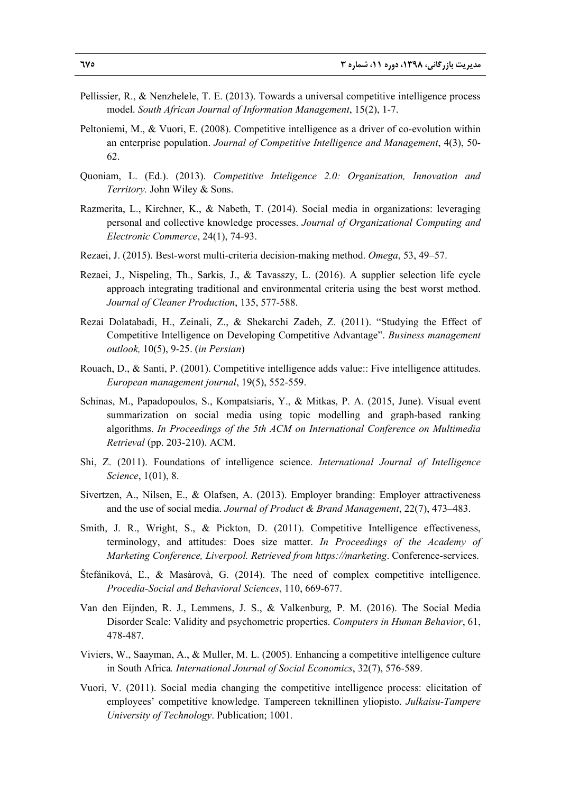- Pellissier, R., & Nenzhelele, T. E. (2013). Towards a universal competitive intelligence process model. *South African Journal of Information Management*, 15(2), 1-7.
- Peltoniemi, M., & Vuori, E. (2008). Competitive intelligence as a driver of co-evolution within an enterprise population. *Journal of Competitive Intelligence and Management*, 4(3), 50- 62.
- Quoniam, L. (Ed.). (2013). *Competitive Inteligence 2.0: Organization, Innovation and Territory.* John Wiley & Sons.
- Razmerita, L., Kirchner, K., & Nabeth, T. (2014). Social media in organizations: leveraging personal and collective knowledge processes. *Journal of Organizational Computing and Electronic Commerce*, 24(1), 74-93.
- Rezaei, J. (2015). Best-worst multi-criteria decision-making method. *Omega*, 53, 49–57.
- Rezaei, J., Nispeling, Th., Sarkis, J., & Tavasszy, L. (2016). A supplier selection life cycle approach integrating traditional and environmental criteria using the best worst method. *Journal of Cleaner Production*, 135, 577-588.
- Rezai Dolatabadi, H., Zeinali, Z., & Shekarchi Zadeh, Z. (2011). "Studying the Effect of Competitive Intelligence on Developing Competitive Advantage". *Business management outlook,* 10(5), 9-25. (*in Persian*)
- Rouach, D., & Santi, P. (2001). Competitive intelligence adds value:: Five intelligence attitudes. *European management journal*, 19(5), 552-559.
- Schinas, M., Papadopoulos, S., Kompatsiaris, Y., & Mitkas, P. A. (2015, June). Visual event summarization on social media using topic modelling and graph-based ranking algorithms. *In Proceedings of the 5th ACM on International Conference on Multimedia Retrieval* (pp. 203-210). ACM.
- Shi, Z. (2011). Foundations of intelligence science. *International Journal of Intelligence Science*, 1(01), 8.
- Sivertzen, A., Nilsen, E., & Olafsen, A. (2013). Employer branding: Employer attractiveness and the use of social media. *Journal of Product & Brand Management*, 22(7), 473–483.
- Smith, J. R., Wright, S., & Pickton, D. (2011). Competitive Intelligence effectiveness, terminology, and attitudes: Does size matter. *In Proceedings of the Academy of Marketing Conference, Liverpool. Retrieved from https://marketing*. Conference-services.
- Štefániková, Ľ., & Masàrovà, G. (2014). The need of complex competitive intelligence. *Procedia-Social and Behavioral Sciences*, 110, 669-677.
- Van den Eijnden, R. J., Lemmens, J. S., & Valkenburg, P. M. (2016). The Social Media Disorder Scale: Validity and psychometric properties. *Computers in Human Behavior*, 61, 478-487.
- Viviers, W., Saayman, A., & Muller, M. L. (2005). Enhancing a competitive intelligence culture in South Africa*. International Journal of Social Economics*, 32(7), 576-589.
- Vuori, V. (2011). Social media changing the competitive intelligence process: elicitation of employees' competitive knowledge. Tampereen teknillinen yliopisto. *Julkaisu-Tampere University of Technology*. Publication; 1001.